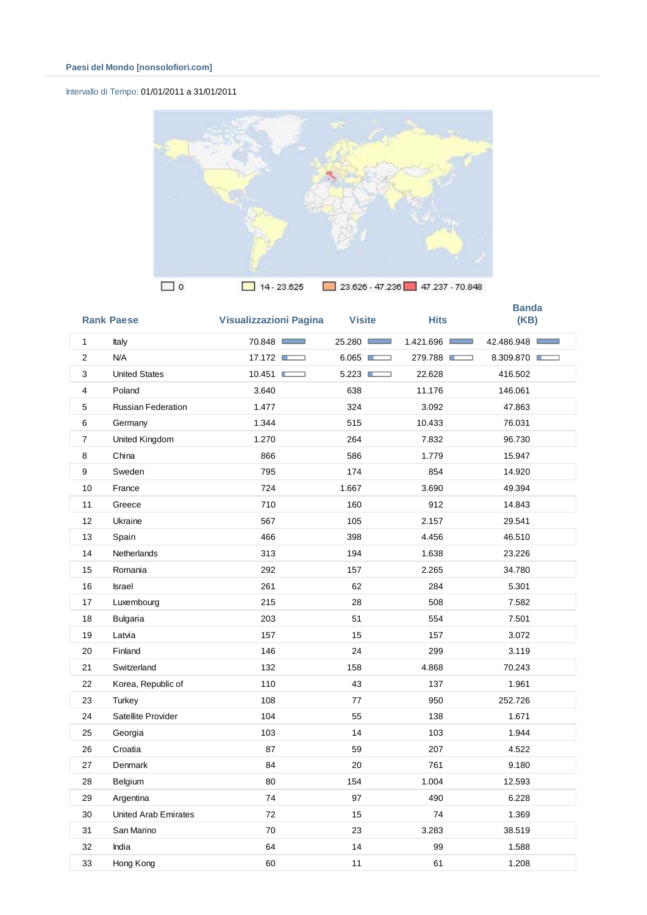## Intervallo di Tempo: 01/01/2011 a 31/01/2011



|                | <b>Rank Paese</b>           | Visualizzazioni Pagina | <b>Visite</b> | <b>Hits</b> | <b>Banda</b><br>(KB) |
|----------------|-----------------------------|------------------------|---------------|-------------|----------------------|
| $\mathbf{1}$   | Italy                       | 70.848                 | 25.280        | 1.421.696   | 42.486.948           |
| $\overline{2}$ | N/A                         | 17.172                 | 6.065         | 279.788     | 8.309.870            |
| 3              | <b>United States</b>        | 10.451                 | 5.223         | 22.628      | 416.502              |
| $\overline{4}$ | Poland                      | 3.640                  | 638           | 11.176      | 146.061              |
| 5              | <b>Russian Federation</b>   | 1.477                  | 324           | 3.092       | 47.863               |
| 6              | Germany                     | 1.344                  | 515           | 10.433      | 76.031               |
| 7              | United Kingdom              | 1.270                  | 264           | 7.832       | 96.730               |
| 8              | China                       | 866                    | 586           | 1.779       | 15.947               |
| 9              | Sweden                      | 795                    | 174           | 854         | 14.920               |
| 10             | France                      | 724                    | 1.667         | 3.690       | 49.394               |
| 11             | Greece                      | 710                    | 160           | 912         | 14.843               |
| 12             | Ukraine                     | 567                    | 105           | 2.157       | 29.541               |
| 13             | Spain                       | 466                    | 398           | 4.456       | 46.510               |
| 14             | Netherlands                 | 313                    | 194           | 1.638       | 23.226               |
| 15             | Romania                     | 292                    | 157           | 2.265       | 34.780               |
| 16             | <b>Israel</b>               | 261                    | 62            | 284         | 5.301                |
| 17             | Luxembourg                  | 215                    | 28            | 508         | 7.582                |
| 18             | <b>Bulgaria</b>             | 203                    | 51            | 554         | 7.501                |
| 19             | Latvia                      | 157                    | 15            | 157         | 3.072                |
| 20             | Finland                     | 146                    | 24            | 299         | 3.119                |
| 21             | Switzerland                 | 132                    | 158           | 4.868       | 70.243               |
| 22             | Korea, Republic of          | 110                    | 43            | 137         | 1.961                |
| 23             | Turkey                      | 108                    | 77            | 950         | 252.726              |
| 24             | Satellite Provider          | 104                    | 55            | 138         | 1.671                |
| 25             | Georgia                     | 103                    | 14            | 103         | 1.944                |
| 26             | Croatia                     | 87                     | 59            | 207         | 4.522                |
| 27             | Denmark                     | 84                     | 20            | 761         | 9.180                |
| 28             | Belgium                     | 80                     | 154           | 1.004       | 12.593               |
| 29             | Argentina                   | 74                     | 97            | 490         | 6.228                |
| 30             | <b>United Arab Emirates</b> | 72                     | 15            | 74          | 1.369                |
| 31             | San Marino                  | 70                     | 23            | 3.283       | 38.519               |
| 32             | India                       | 64                     | 14            | 99          | 1.588                |
| 33             | Hong Kong                   | 60                     | 11            | 61          | 1.208                |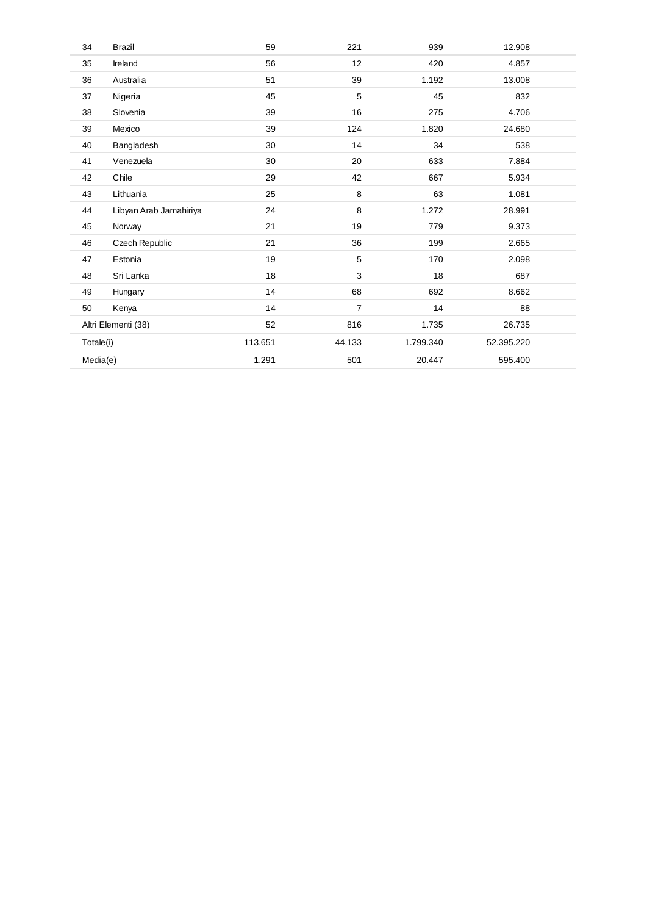| 34        | <b>Brazil</b>          | 59      | 221            | 939       | 12.908     |  |
|-----------|------------------------|---------|----------------|-----------|------------|--|
| 35        | Ireland                | 56      | 12             | 420       | 4.857      |  |
| 36        | Australia              | 51      | 39             | 1.192     | 13.008     |  |
| 37        | Nigeria                | 45      | 5              | 45        | 832        |  |
| 38        | Slovenia               | 39      | 16             | 275       | 4.706      |  |
| 39        | Mexico                 | 39      | 124            | 1.820     | 24.680     |  |
| 40        | Bangladesh             | 30      | 14             | 34        | 538        |  |
| 41        | Venezuela              | 30      | 20             | 633       | 7.884      |  |
| 42        | Chile                  | 29      | 42             | 667       | 5.934      |  |
| 43        | Lithuania              | 25      | 8              | 63        | 1.081      |  |
| 44        | Libyan Arab Jamahiriya | 24      | 8              | 1.272     | 28.991     |  |
| 45        | Norway                 | 21      | 19             | 779       | 9.373      |  |
| 46        | Czech Republic         | 21      | 36             | 199       | 2.665      |  |
| 47        | Estonia                | 19      | 5              | 170       | 2.098      |  |
| 48        | Sri Lanka              | 18      | 3              | 18        | 687        |  |
| 49        | Hungary                | 14      | 68             | 692       | 8.662      |  |
| 50        | Kenya                  | 14      | $\overline{7}$ | 14        | 88         |  |
|           | Altri Elementi (38)    | 52      | 816            | 1.735     | 26.735     |  |
| Totale(i) |                        | 113.651 | 44.133         | 1.799.340 | 52.395.220 |  |
| Media(e)  |                        | 1.291   | 501            | 20.447    | 595.400    |  |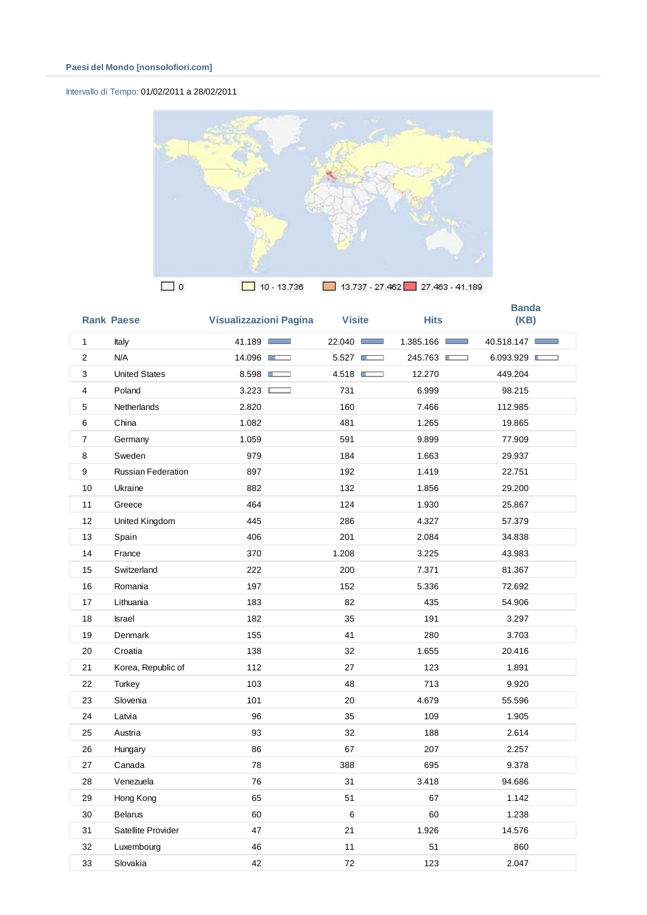## Intervallo di Tempo: 01/02/2011 a 28/02/2011



|                | <b>Rank Paese</b>         | <b>Visualizzazioni Pagina</b> | <b>Visite</b> | <b>Hits</b> | <b>Banda</b><br>(KB) |
|----------------|---------------------------|-------------------------------|---------------|-------------|----------------------|
| $\mathbf{1}$   | Italy                     | 41.189                        | 22.040        | 1.385.166   | 40.518.147           |
| $\overline{2}$ | N/A                       | 14.096                        | 5.527         | 245.763     | 6.093.929            |
| 3              | <b>United States</b>      | 8.598                         | 4.518         | 12.270      | 449.204              |
| 4              | Poland                    | 3.223                         | 731           | 6.999       | 98.215               |
| 5              | Netherlands               | 2.820                         | 160           | 7.466       | 112.985              |
| 6              | China                     | 1.082                         | 481           | 1.265       | 19.865               |
| $\overline{7}$ | Germany                   | 1.059                         | 591           | 9.899       | 77.909               |
| 8              | Sweden                    | 979                           | 184           | 1.663       | 29.937               |
| 9              | <b>Russian Federation</b> | 897                           | 192           | 1.419       | 22.751               |
| 10             | Ukraine                   | 882                           | 132           | 1.856       | 29.200               |
| 11             | Greece                    | 464                           | 124           | 1.930       | 25.867               |
| 12             | United Kingdom            | 445                           | 286           | 4.327       | 57.379               |
| 13             | Spain                     | 406                           | 201           | 2.084       | 34.838               |
| 14             | France                    | 370                           | 1.208         | 3.225       | 43.983               |
| 15             | Switzerland               | 222                           | 200           | 7.371       | 81.367               |
| 16             | Romania                   | 197                           | 152           | 5.336       | 72.692               |
| 17             | Lithuania                 | 183                           | 82            | 435         | 54.906               |
| 18             | <b>Israel</b>             | 182                           | 35            | 191         | 3.297                |
| 19             | Denmark                   | 155                           | 41            | 280         | 3.703                |
| 20             | Croatia                   | 138                           | 32            | 1.655       | 20.416               |
| 21             | Korea, Republic of        | 112                           | 27            | 123         | 1.891                |
| 22             | Turkey                    | 103                           | 48            | 713         | 9.920                |
| 23             | Slovenia                  | 101                           | 20            | 4.679       | 55.596               |
| 24             | Latvia                    | 96                            | 35            | 109         | 1.905                |
| 25             | Austria                   | 93                            | 32            | 188         | 2.614                |
| 26             | Hungary                   | 86                            | 67            | 207         | 2.257                |
| 27             | Canada                    | 78                            | 388           | 695         | 9.378                |
| 28             | Venezuela                 | 76                            | 31            | 3.418       | 94.686               |
| 29             | Hong Kong                 | 65                            | 51            | 67          | 1.142                |
| 30             | <b>Belarus</b>            | 60                            | 6             | 60          | 1.238                |
| 31             | Satellite Provider        | 47                            | 21            | 1.926       | 14.576               |
| 32             | Luxembourg                | 46                            | 11            | 51          | 860                  |
| 33             | Slovakia                  | 42                            | 72            | 123         | 2.047                |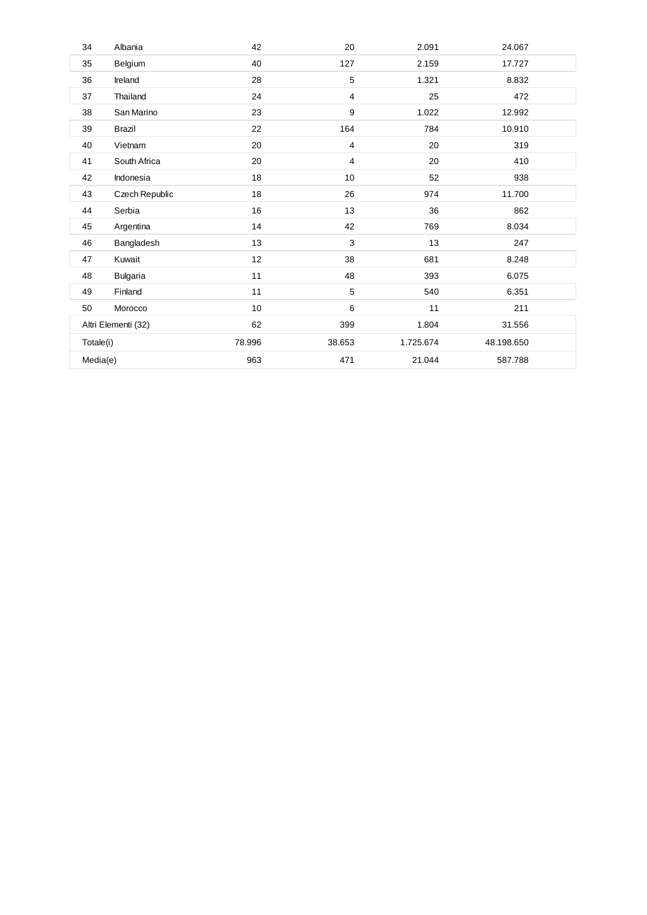| 34        | Albania             | 42     | 20             | 2.091     | 24.067     |  |
|-----------|---------------------|--------|----------------|-----------|------------|--|
| 35        | Belgium             | 40     | 127            | 2.159     | 17.727     |  |
| 36        | Ireland             | 28     | 5              | 1.321     | 8.832      |  |
| 37        | Thailand            | 24     | $\overline{4}$ | 25        | 472        |  |
| 38        | San Marino          | 23     | 9              | 1.022     | 12.992     |  |
| 39        | <b>Brazil</b>       | 22     | 164            | 784       | 10.910     |  |
| 40        | Vietnam             | 20     | 4              | 20        | 319        |  |
| 41        | South Africa        | 20     | 4              | 20        | 410        |  |
| 42        | Indonesia           | 18     | 10             | 52        | 938        |  |
| 43        | Czech Republic      | 18     | 26             | 974       | 11.700     |  |
| 44        | Serbia              | 16     | 13             | 36        | 862        |  |
| 45        | Argentina           | 14     | 42             | 769       | 8.034      |  |
| 46        | Bangladesh          | 13     | 3              | 13        | 247        |  |
| 47        | Kuwait              | 12     | 38             | 681       | 8.248      |  |
| 48        | <b>Bulgaria</b>     | 11     | 48             | 393       | 6.075      |  |
| 49        | Finland             | 11     | 5              | 540       | 6.351      |  |
| 50        | Morocco             | 10     | 6              | 11        | 211        |  |
|           | Altri Elementi (32) |        | 399            | 1.804     | 31.556     |  |
| Totale(i) |                     | 78.996 | 38.653         | 1.725.674 | 48.198.650 |  |
| Media(e)  |                     | 963    | 471            | 21.044    | 587.788    |  |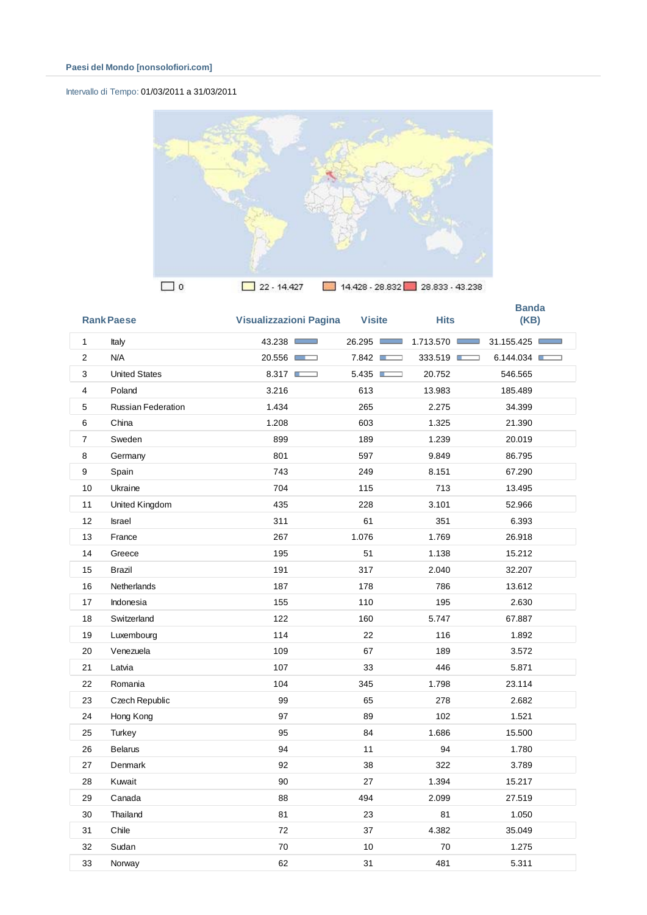## Intervallo di Tempo: 01/03/2011 a 31/03/2011



|                | <b>Rank Paese</b>         | <b>Visualizzazioni Pagina</b> | <b>Visite</b> | <b>Hits</b>                    | <b>Banda</b><br>(KB) |
|----------------|---------------------------|-------------------------------|---------------|--------------------------------|----------------------|
| $\mathbf{1}$   | Italy                     | 43.238                        | 26.295        | 1.713.570 ■<br><b>Contract</b> | 31.155.425           |
| $\overline{2}$ | N/A                       | 20.556                        | 7.842         | 333.519                        | 6.144.034            |
| 3              | <b>United States</b>      | 8.317                         | 5.435         | 20.752                         | 546.565              |
| 4              | Poland                    | 3.216                         | 613           | 13.983                         | 185.489              |
| 5              | <b>Russian Federation</b> | 1.434                         | 265           | 2.275                          | 34.399               |
| 6              | China                     | 1.208                         | 603           | 1.325                          | 21.390               |
| 7              | Sweden                    | 899                           | 189           | 1.239                          | 20.019               |
| 8              | Germany                   | 801                           | 597           | 9.849                          | 86.795               |
| 9              | Spain                     | 743                           | 249           | 8.151                          | 67.290               |
| 10             | Ukraine                   | 704                           | 115           | 713                            | 13.495               |
| 11             | United Kingdom            | 435                           | 228           | 3.101                          | 52.966               |
| 12             | <b>Israel</b>             | 311                           | 61            | 351                            | 6.393                |
| 13             | France                    | 267                           | 1.076         | 1.769                          | 26.918               |
| 14             | Greece                    | 195                           | 51            | 1.138                          | 15.212               |
| 15             | <b>Brazil</b>             | 191                           | 317           | 2.040                          | 32.207               |
| 16             | <b>Netherlands</b>        | 187                           | 178           | 786                            | 13.612               |
| 17             | Indonesia                 | 155                           | 110           | 195                            | 2.630                |
| 18             | Switzerland               | 122                           | 160           | 5.747                          | 67.887               |
| 19             | Luxembourg                | 114                           | 22            | 116                            | 1.892                |
| 20             | Venezuela                 | 109                           | 67            | 189                            | 3.572                |
| 21             | Latvia                    | 107                           | 33            | 446                            | 5.871                |
| 22             | Romania                   | 104                           | 345           | 1.798                          | 23.114               |
| 23             | Czech Republic            | 99                            | 65            | 278                            | 2.682                |
| 24             | Hong Kong                 | 97                            | 89            | 102                            | 1.521                |
| 25             | Turkey                    | 95                            | 84            | 1.686                          | 15.500               |
| 26             | <b>Belarus</b>            | 94                            | 11            | 94                             | 1.780                |
| 27             | Denmark                   | 92                            | 38            | 322                            | 3.789                |
| 28             | Kuwait                    | 90                            | 27            | 1.394                          | 15.217               |
| 29             | Canada                    | 88                            | 494           | 2.099                          | 27.519               |
| 30             | Thailand                  | 81                            | 23            | 81                             | 1.050                |
| 31             | Chile                     | 72                            | 37            | 4.382                          | 35.049               |
| 32             | Sudan                     | 70                            | 10            | 70                             | 1.275                |
| 33             | Norway                    | 62                            | 31            | 481                            | 5.311                |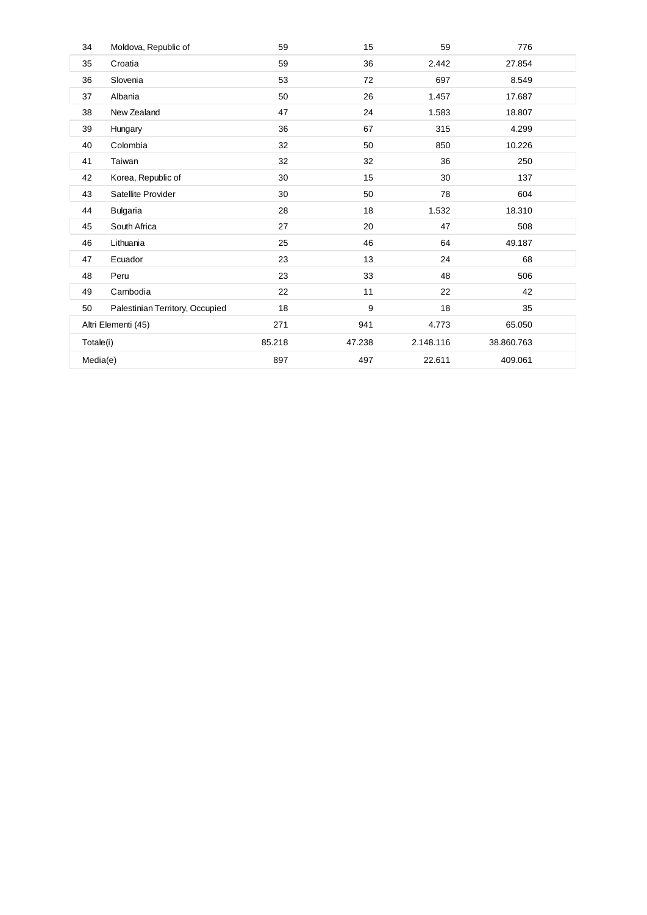| 34        | Moldova, Republic of            | 59     | 15     | 59        | 776        |  |
|-----------|---------------------------------|--------|--------|-----------|------------|--|
| 35        | Croatia                         | 59     | 36     | 2.442     | 27.854     |  |
| 36        | Slovenia                        | 53     | 72     | 697       | 8.549      |  |
| 37        | Albania                         | 50     | 26     | 1.457     | 17.687     |  |
| 38        | New Zealand                     | 47     | 24     | 1.583     | 18.807     |  |
| 39        | Hungary                         | 36     | 67     | 315       | 4.299      |  |
| 40        | Colombia                        | 32     | 50     | 850       | 10.226     |  |
| 41        | Taiwan                          | 32     | 32     | 36        | 250        |  |
| 42        | Korea, Republic of              | 30     | 15     | 30        | 137        |  |
| 43        | Satellite Provider              | 30     | 50     | 78        | 604        |  |
| 44        | <b>Bulgaria</b>                 | 28     | 18     | 1.532     | 18.310     |  |
| 45        | South Africa                    | 27     | 20     | 47        | 508        |  |
| 46        | Lithuania                       | 25     | 46     | 64        | 49.187     |  |
| 47        | Ecuador                         | 23     | 13     | 24        | 68         |  |
| 48        | Peru                            | 23     | 33     | 48        | 506        |  |
| 49        | Cambodia                        | 22     | 11     | 22        | 42         |  |
| 50        | Palestinian Territory, Occupied | 18     | 9      | 18        | 35         |  |
|           | Altri Elementi (45)             | 271    | 941    | 4.773     | 65.050     |  |
| Totale(i) |                                 | 85.218 | 47.238 | 2.148.116 | 38.860.763 |  |
| Media(e)  |                                 | 897    | 497    | 22.611    | 409.061    |  |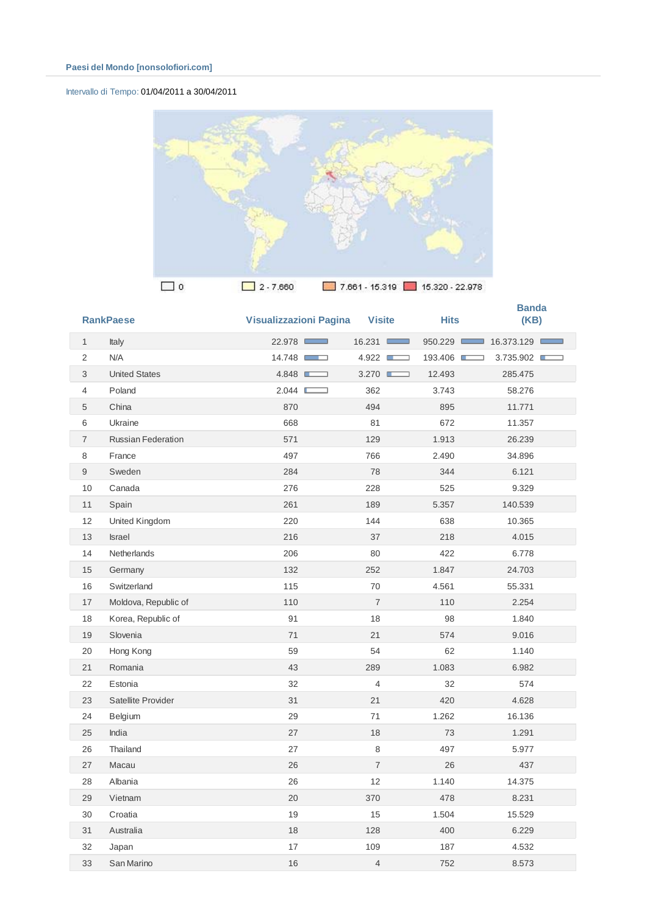## Intervallo di Tempo: 01/04/2011 a 30/04/2011



|                           | <b>RankPaese</b>          | <b>Visualizzazioni Pagina</b> | <b>Visite</b>        | <b>Hits</b> | <b>Banda</b><br>(KB) |
|---------------------------|---------------------------|-------------------------------|----------------------|-------------|----------------------|
| $\mathbf{1}$              | Italy                     | 22.978 □                      | 16.231<br><b>COL</b> | 950.229     | 16.373.129           |
| 2                         | N/A                       | 14.748                        | 4.922<br>⊐           | 193.406 ■   | 3.735.902            |
| 3                         | <b>United States</b>      | 4.848                         | 3.270<br>Œ           | 12.493      | 285.475              |
| $\overline{4}$            | Poland                    | 2.044<br>Е<br>┑               | 362                  | 3.743       | 58.276               |
| 5                         | China                     | 870                           | 494                  | 895         | 11.771               |
| 6                         | Ukraine                   | 668                           | 81                   | 672         | 11.357               |
| $\overline{\mathfrak{c}}$ | <b>Russian Federation</b> | 571                           | 129                  | 1.913       | 26.239               |
| 8                         | France                    | 497                           | 766                  | 2.490       | 34.896               |
| 9                         | Sweden                    | 284                           | 78                   | 344         | 6.121                |
| 10                        | Canada                    | 276                           | 228                  | 525         | 9.329                |
| 11                        | Spain                     | 261                           | 189                  | 5.357       | 140.539              |
| 12                        | United Kingdom            | 220                           | 144                  | 638         | 10.365               |
| 13                        | <b>Israel</b>             | 216                           | 37                   | 218         | 4.015                |
| 14                        | Netherlands               | 206                           | 80                   | 422         | 6.778                |
| 15                        | Germany                   | 132                           | 252                  | 1.847       | 24.703               |
| 16                        | Switzerland               | 115                           | 70                   | 4.561       | 55.331               |
| 17                        | Moldova, Republic of      | 110                           | $\overline{7}$       | 110         | 2.254                |
| 18                        | Korea, Republic of        | 91                            | 18                   | 98          | 1.840                |
| 19                        | Slovenia                  | 71                            | 21                   | 574         | 9.016                |
| 20                        | Hong Kong                 | 59                            | 54                   | 62          | 1.140                |
| 21                        | Romania                   | 43                            | 289                  | 1.083       | 6.982                |
| 22                        | Estonia                   | 32                            | 4                    | 32          | 574                  |
| 23                        | Satellite Provider        | 31                            | 21                   | 420         | 4.628                |
| 24                        | Belgium                   | 29                            | 71                   | 1.262       | 16.136               |
| 25                        | India                     | 27                            | 18                   | 73          | 1.291                |
| 26                        | Thailand                  | 27                            | 8                    | 497         | 5.977                |
| 27                        | Macau                     | 26                            | $\overline{7}$       | 26          | 437                  |
| 28                        | Albania                   | 26                            | 12                   | 1.140       | 14.375               |
| 29                        | Vietnam                   | 20                            | 370                  | 478         | 8.231                |
| 30                        | Croatia                   | 19                            | 15                   | 1.504       | 15.529               |
| 31                        | Australia                 | 18                            | 128                  | 400         | 6.229                |
| 32                        | Japan                     | 17                            | 109                  | 187         | 4.532                |
| 33                        | San Marino                | 16                            | 4                    | 752         | 8.573                |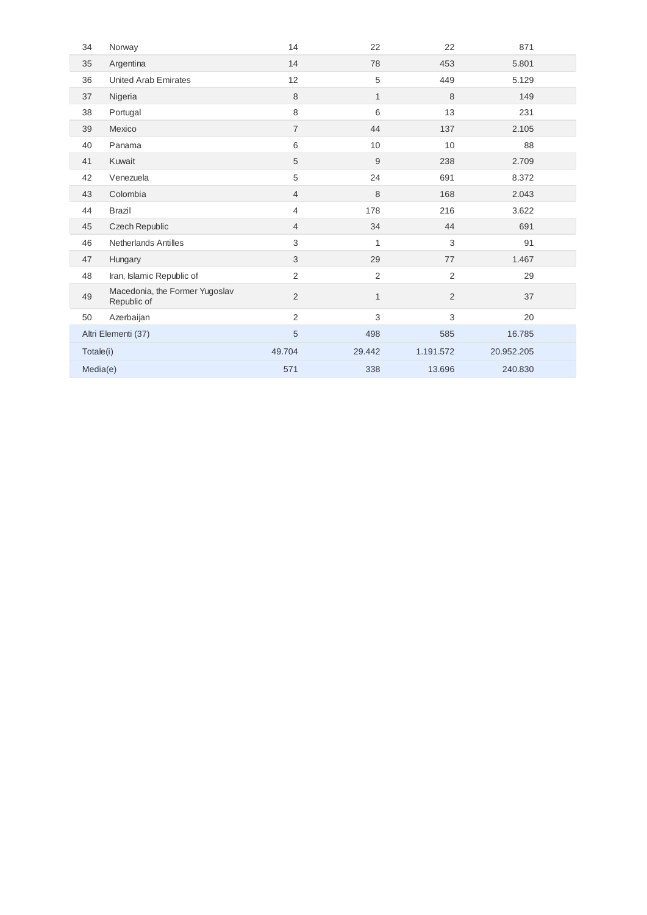| 34        | Norway                                        | 14             | 22             | 22             | 871        |
|-----------|-----------------------------------------------|----------------|----------------|----------------|------------|
| 35        | Argentina                                     | 14             | 78             | 453            | 5.801      |
| 36        | <b>United Arab Emirates</b>                   | 12             | 5              | 449            | 5.129      |
| 37        | Nigeria                                       | 8              | $\mathbf{1}$   | 8              | 149        |
| 38        | Portugal                                      | 8              | 6              | 13             | 231        |
| 39        | Mexico                                        | $\overline{7}$ | 44             | 137            | 2.105      |
| 40        | Panama                                        | 6              | 10             | 10             | 88         |
| 41        | Kuwait                                        | 5              | 9              | 238            | 2.709      |
| 42        | Venezuela                                     | 5              | 24             | 691            | 8.372      |
| 43        | Colombia                                      | $\overline{4}$ | 8              | 168            | 2.043      |
| 44        | <b>Brazil</b>                                 | 4              | 178            | 216            | 3.622      |
| 45        | Czech Republic                                | $\overline{4}$ | 34             | 44             | 691        |
| 46        | <b>Netherlands Antilles</b>                   | 3              | 1              | 3              | 91         |
| 47        | Hungary                                       | 3              | 29             | 77             | 1.467      |
| 48        | Iran, Islamic Republic of                     | 2              | $\overline{2}$ | $\overline{2}$ | 29         |
| 49        | Macedonia, the Former Yugoslav<br>Republic of | $\overline{2}$ | $\mathbf{1}$   | 2              | 37         |
| 50        | Azerbaijan                                    | $\overline{2}$ | 3              | 3              | 20         |
|           | Altri Elementi (37)                           | 5              | 498            | 585            | 16.785     |
| Totale(i) |                                               | 49.704         | 29.442         | 1.191.572      | 20.952.205 |
| Media(e)  |                                               | 571            | 338            | 13.696         | 240.830    |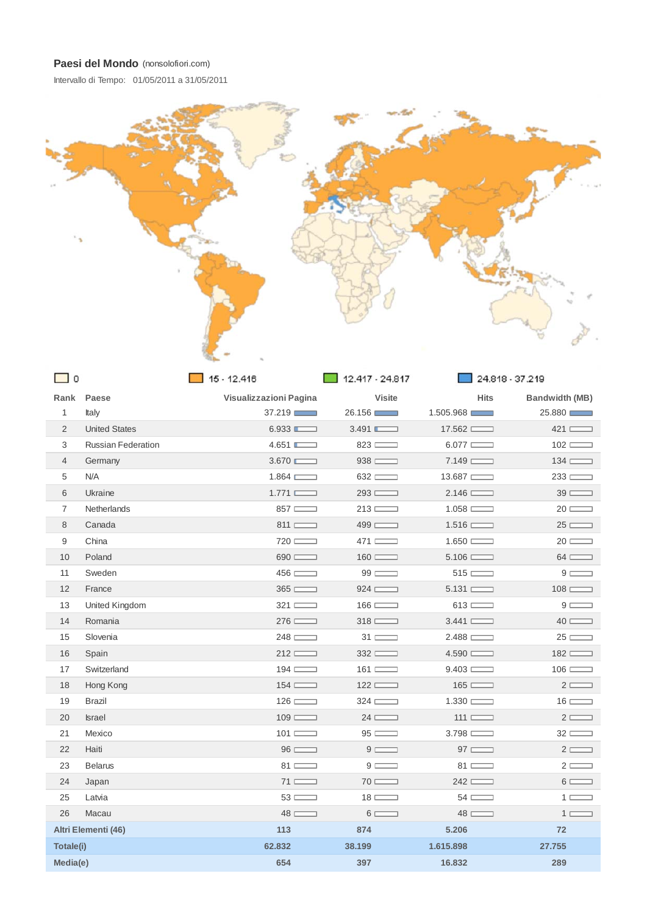Intervallo di Tempo: 01/05/2011 a 31/05/2011



| $\mathbf 0$    |                           | $15 - 12.416$          | 12.417 - 24.817      |                  | 24.818 - 37.219                |  |
|----------------|---------------------------|------------------------|----------------------|------------------|--------------------------------|--|
|                | Rank Paese                | Visualizzazioni Pagina | <b>Visite</b>        | <b>Hits</b>      | <b>Bandwidth (MB)</b>          |  |
| $\mathbf{1}$   | Italy                     | 37.219                 | 26.156               | 1.505.968        | 25.880                         |  |
| 2              | <b>United States</b>      | 6.933                  | 3.491                | 17.562           | $421$ $\qquad$                 |  |
| 3              | <b>Russian Federation</b> | 4.651                  | 823                  | $6.077$ $\qquad$ | $102 \equiv$                   |  |
| $\overline{4}$ | Germany                   | 3.670                  | 938                  | $7.149$ $\qquad$ | $134 \equiv$                   |  |
| 5              | N/A                       | 1.864                  | $632$ $\qquad$       | 13.687           | $233 \ \overline{\phantom{1}}$ |  |
| 6              | Ukraine                   | 1.771                  | 293                  | $2.146$ $\qquad$ | $39 \equiv$                    |  |
| $\overline{7}$ | <b>Netherlands</b>        | 857                    | $213 \equiv$         | $1.058$ $\qquad$ | $20 \equiv$                    |  |
| 8              | Canada                    | $811$ $\qquad$         | $499$ $\qquad$       | 1.516            | $25 \equiv$                    |  |
| 9              | China                     | 720                    | 471                  | 1.650            | $20 \equiv$                    |  |
| 10             | Poland                    | $690$ $\qquad$         | $160 \equiv$         | $5.106 \equiv$   | $64 \equiv$                    |  |
| 11             | Sweden                    | $456 \ \blacksquare$   | $99 \equiv$          | $515$ $\qquad$   | $9 \Box$                       |  |
| 12             | France                    | 365                    | 924                  | 5.131            | $108 \equiv$                   |  |
| 13             | United Kingdom            | $321$ $\qquad$         | $166 \equiv$         | 613              | $9 \Box$                       |  |
| 14             | Romania                   | 276                    | $318 \equiv$         | $3.441$ $\qquad$ | $40 \equiv$                    |  |
| 15             | Slovenia                  | 248                    | $31 \equiv$          | 2.488            | $25 \equiv$                    |  |
| 16             | Spain                     | $212 \ \Box$           | 332                  | 4.590            | $182$ $\qquad$                 |  |
| 17             | Switzerland               | $194 \ \blacksquare$   | $161$ $\qquad$       | 9.403            | $106 \equiv$                   |  |
| 18             | Hong Kong                 | $154$ $\qquad$         | 122                  | $165$ $\qquad$   | $2 \equiv$                     |  |
| 19             | Brazil                    | $126 \equiv$           | $324 \ \blacksquare$ | 1.330            | $16 \equiv$                    |  |
| 20             | Israel                    | $109 \equiv$           | $24 \equiv$          | $111 \equiv$     | $2 \equiv$                     |  |
| 21             | Mexico                    | $101 \equiv$           | $95 \equiv$          | 3.798            | $32 \equiv$                    |  |
| 22             | Haiti                     | $96 \equiv$            | $9 \equiv$           | $97 \equiv$      | $2 \equiv$                     |  |
| 23             | <b>Belarus</b>            | $81 \equiv$            | $9 \Box$             | $81 \equiv$      | $2 \Box$                       |  |
| 24             | Japan                     | $71$ $\qquad$          | $70 \equiv$          | 242              | $6 \equiv$                     |  |
| 25             | Latvia                    | $53 \equiv$            | $18 \equiv$          | $54 \equiv$      | $1 \equiv$                     |  |
| 26             | Macau                     | $48 \equiv$            | $6 \equiv$           | $48 \equiv$      | $1 \equiv$                     |  |
|                | Altri Elementi (46)       | 113                    | 874                  | 5.206            | 72                             |  |
| Totale(i)      |                           | 62.832                 | 38.199               | 1.615.898        | 27.755                         |  |
| Media(e)       |                           | 654                    | 397                  | 16.832           | 289                            |  |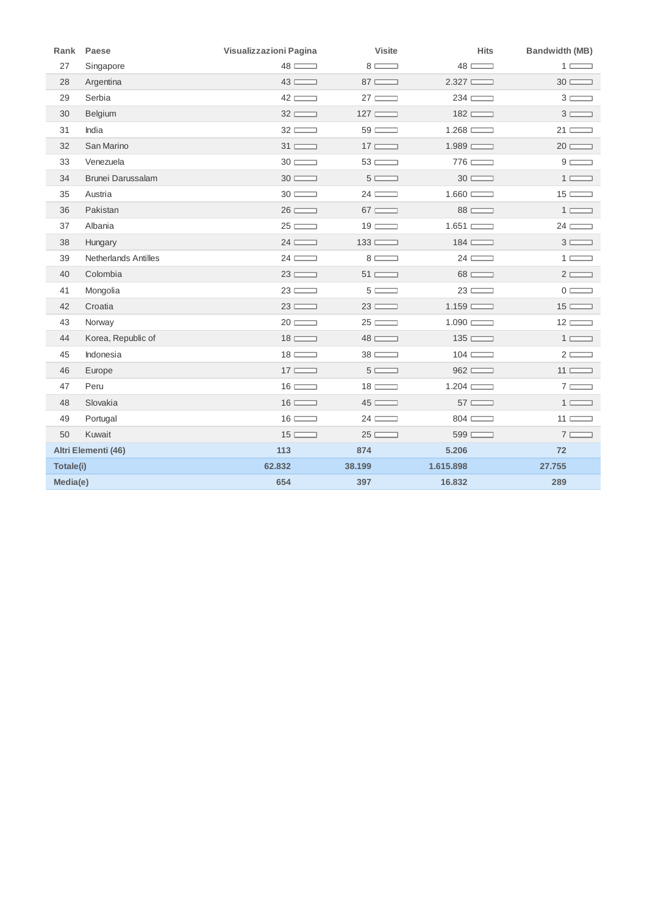|           | Rank Paese                  | Visualizzazioni Pagina | <b>Visite</b> | <b>Hits</b>          | <b>Bandwidth (MB)</b> |
|-----------|-----------------------------|------------------------|---------------|----------------------|-----------------------|
| 27        | Singapore                   | $48 \equiv$            | $8 \equiv$    | $48 \equiv$          | $1 \Box$              |
| 28        | Argentina                   | $43 \equiv$            | $87 \equiv$   | 2.327                | $30 \equiv$           |
| 29        | Serbia                      | $42 \equiv$            | $27 \equiv$   | $234 \ \blacksquare$ | $3 \equiv$            |
| 30        | Belgium                     | $32 \equiv$            | $127 \ \Box$  | $182$ $\qquad$       | $3 \equiv$            |
| 31        | India                       | $32 \equiv$            | $59 \equiv$   | 1.268                | $21 \equiv$           |
| 32        | San Marino                  | $31 \equiv$            | $17 \equiv$   | $1.989$ $\qquad$     | $20 \equiv$           |
| 33        | Venezuela                   | $30 \equiv$            | $53 \equiv$   | 776                  | $9 \equiv$            |
| 34        | <b>Brunei Darussalam</b>    | $30 \equiv$            | $5 \equiv$    | $30 \equiv$          | $1 \equiv$            |
| 35        | Austria                     | $30 \equiv$            | $24 \equiv$   | $1.660$ $\qquad$     | $15 \equiv$           |
| 36        | Pakistan                    | $26 \equiv$            | $67 \equiv$   | $88 \equiv$          | $1 \equiv$            |
| 37        | Albania                     | $25 \equiv$            | $19 \equiv$   | 1.651                | $24 \equiv$           |
| 38        | Hungary                     | $24 \equiv$            | $133 \equiv$  | $184 \ \blacksquare$ | $3 \equiv$            |
| 39        | <b>Netherlands Antilles</b> | $24 \equiv$            | $8 \equiv$    | $24 \equiv$          | $1 \Box$              |
| 40        | Colombia                    | $23 \equiv$            | $51 \equiv$   | $68 \equiv$          | $2 \equiv$            |
| 41        | Mongolia                    | $23 \equiv$            | $5 \equiv$    | $23 \equiv$          | $0 \equiv$            |
| 42        | Croatia                     | $23 \equiv$            | $23 \equiv$   | $1.159$ $\qquad$     | $15 \equiv$           |
| 43        | Norway                      | $20 \equiv$            | $25 \equiv$   | $1.090$ $\qquad$     | $12 \equiv$           |
| 44        | Korea, Republic of          | $18 \equiv$            | $48 \equiv$   | 135                  | $1 \equiv$            |
| 45        | Indonesia                   | $18 \equiv$            | $38 \equiv$   | $104 \equiv$         | $2 \equiv$            |
| 46        | Europe                      | $17 \equiv$            | $5 \equiv$    | 962                  | $11 \equiv$           |
| 47        | Peru                        | $16 \equiv$            | $18 \equiv$   | $1.204$ $\qquad$     | $7 \equiv$            |
| 48        | Slovakia                    | $16 \equiv$            | $45 \equiv$   | $57 \equiv$          | $1 \Box$              |
| 49        | Portugal                    | $16 \equiv$            | $24 \equiv$   | $804 \ \blacksquare$ | $11 \equiv$           |
| 50        | Kuwait                      | $15 \equiv$            | $25 \equiv$   | $599$ $\qquad$       | $7 \equiv$            |
|           | Altri Elementi (46)         | 113                    | 874           | 5.206                | 72                    |
| Totale(i) |                             | 62.832                 | 38.199        | 1.615.898            | 27.755                |
| Media(e)  |                             | 654                    | 397           | 16.832               | 289                   |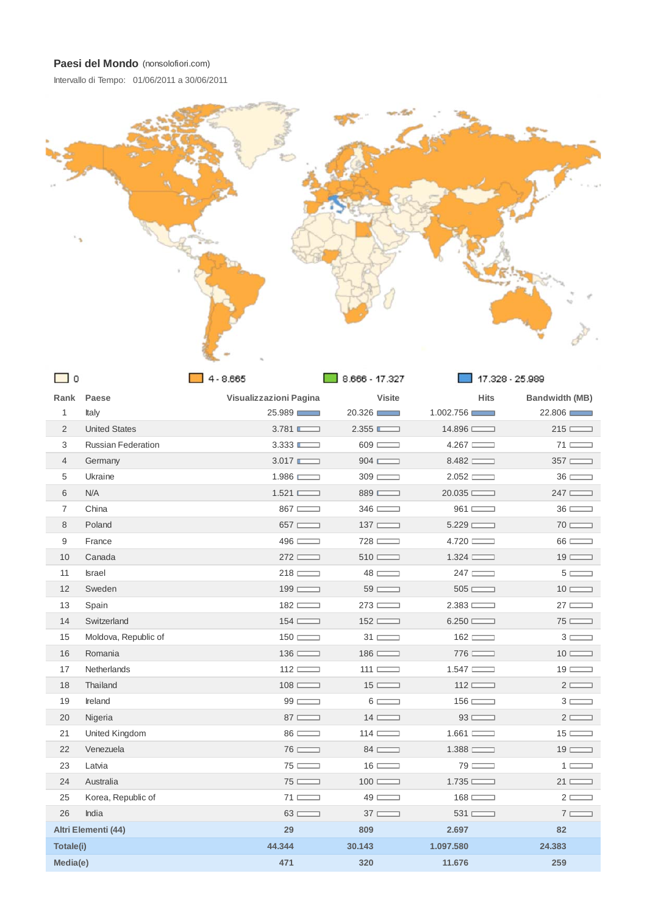Intervallo di Tempo: 01/06/2011 a 30/06/2011



| ∟ 0              |                           | $4 - 8.665$            | $8.666 - 17.327$              | 17.328 - 25.989         |                       |
|------------------|---------------------------|------------------------|-------------------------------|-------------------------|-----------------------|
|                  | Rank Paese                | Visualizzazioni Pagina | <b>Visite</b>                 | <b>Hits</b>             | <b>Bandwidth (MB)</b> |
| $\mathbf{1}$     | Italy                     | 25.989                 | 20.326                        | 1.002.756               | 22.806                |
| $\overline{2}$   | <b>United States</b>      | 3.781                  | 2.355                         | 14.896                  | $215$ $\qquad$        |
| 3                | <b>Russian Federation</b> | 3.333                  | $609$ $\qquad$                | 4.267                   | $71 \equiv$           |
| $\overline{4}$   | Germany                   | 3.017                  | 904                           | 8.482                   | $357$ $\qquad$        |
| 5                | Ukraine                   | 1.986                  | $309 \equiv$                  | 2.052                   | $36 \equiv$           |
| 6                | N/A                       | 1.521                  | 889                           | 20.035                  | 247                   |
| $\overline{7}$   | China                     | $867$ $\qquad$         | $346 \ \blacksquare$          | $961$ $\qquad$          | $36 \equiv$           |
| 8                | Poland                    | $657$ $\qquad$         | $137 \equiv$                  | 5.229                   | $70 \equiv$           |
| $\boldsymbol{9}$ | France                    | 496                    | 728                           | 4.720                   | $66 \equiv$           |
| 10               | Canada                    | $272$ $\qquad$         | $510$ $\qquad$                | 1.324                   | $19 \equiv$           |
| 11               | <b>Israel</b>             | $218 \equiv$           | $48 \equiv$                   | $247 \ \Box$            | $5 \equiv$            |
| 12               | Sweden                    | $199 \equiv$           | $59 \equiv$                   | 505                     | $10 \equiv$           |
| 13               | Spain                     | $182 \equiv$           | $273 \ \Box$                  | 2.383                   | $27 \equiv$           |
| 14               | Switzerland               | 154                    | 152                           | 6.250                   | $75 \equiv$           |
| 15               | Moldova, Republic of      | 150                    | $31 \ \overline{\phantom{1}}$ | $162$ $\qquad$          | $3 \Box$              |
| 16               | Romania                   | $136 \equiv$           | $186 \equiv$                  | $776$ $\qquad$          | $10 \equiv$           |
| 17               | <b>Netherlands</b>        | $112 \equiv$           | $111 \equiv$                  | $1.547$ $\qquad \qquad$ | $19 \equiv$           |
| 18               | Thailand                  | $108 \equiv$           | $15 \equiv$                   | $112 \equiv$            | $2 \Box$              |
| 19               | Ireland                   | $99 \equiv$            | $6 \equiv$                    | $156 \ \blacksquare$    | $3 \equiv$            |
| 20               | Nigeria                   | $87 \equiv$            | $14 \Box$                     | $93 \equiv$             | $2 \equiv$            |
| 21               | United Kingdom            | $86 \equiv$            | $114 \ \Box$                  | 1.661                   | $15 \equiv$           |
| 22               | Venezuela                 | $76 \equiv$            | $84 \equiv$                   | 1.388                   | $19 \equiv$           |
| 23               | Latvia                    | $75 \equiv$            | $16 \equiv$                   | $79 \equiv$             | $1 \Box$              |
| 24               | Australia                 | $75 \equiv$            | $100 \equiv$                  | 1.735                   | $21 \equiv$           |
| 25               | Korea, Republic of        | $71 \equiv$            | $49 \equiv$                   | $168 \equiv$            | $2 \equiv$            |
| 26               | India                     | $63 \equiv$            | $37 \equiv$                   | $531 \equiv$            | $7 \Box$              |
|                  | Altri Elementi (44)       | 29                     | 809                           | 2.697                   | 82                    |
| Totale(i)        |                           | 44.344                 | 30.143                        | 1.097.580               | 24.383                |
| Media(e)         |                           | 471                    | 320                           | 11.676                  | 259                   |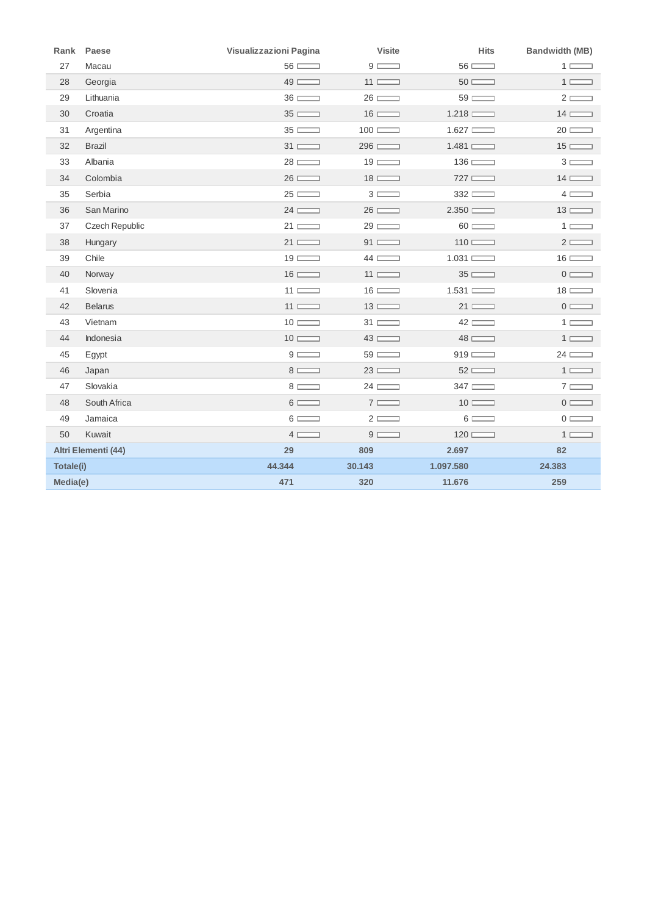|           | Rank Paese          | Visualizzazioni Pagina | <b>Visite</b>  | <b>Hits</b>          | <b>Bandwidth (MB)</b> |
|-----------|---------------------|------------------------|----------------|----------------------|-----------------------|
| 27        | Macau               | $56 \equiv$            | $9 \equiv$     | $56 \equiv$          | $1 \Box$              |
| 28        | Georgia             | $49 \equiv$            | $11 \equiv$    | $50 \equiv$          | $1 \equiv$            |
| 29        | Lithuania           | $36 \equiv$            | $26 \equiv$    | $59 \equiv$          | $2 \equiv$            |
| 30        | Croatia             | $35 \equiv$            | $16 \equiv$    | 1.218                | $14 \equiv$           |
| 31        | Argentina           | $35 \equiv$            | $100 \equiv$   | 1.627                | $20 \equiv$           |
| 32        | <b>Brazil</b>       | $31 \equiv$            | $296$ $\qquad$ | 1.481                | $15 \equiv$           |
| 33        | Albania             | $28 \equiv$            | $19 \equiv$    | $136 \ \blacksquare$ | $3 \Box$              |
| 34        | Colombia            | $26 \equiv$            | $18 \equiv$    | 727                  | $14 \equiv$           |
| 35        | Serbia              | $25 \equiv$            | $3 \Box$       | 332                  | $4 \Box$              |
| 36        | San Marino          | $24 \equiv$            | $26 \equiv$    | 2.350                | $13 \equiv$           |
| 37        | Czech Republic      | $21 \equiv$            | $29 \equiv$    | $60 \equiv$          | $1 \Box$              |
| 38        | Hungary             | 21                     | $91$ $\qquad$  | $110$ $\qquad$       | $2 \equiv$            |
| 39        | Chile               | $19 \equiv$            | $44 \Box$      | 1.031                | $16 \equiv$           |
| 40        | Norway              | $16 \equiv$            | $11 \equiv$    | $35 \equiv$          | $0 \equiv$            |
| 41        | Slovenia            | $11 \equiv$            | $16 \equiv$    | 1.531                | $18 \equiv$           |
| 42        | <b>Belarus</b>      | $11 \equiv$            | $13 \equiv$    | $21 \equiv$          | $0 \equiv$            |
| 43        | Vietnam             | $10 \equiv$            | $31 \equiv$    | $42 \equiv$          | $1 \Box$              |
| 44        | Indonesia           | $10 \equiv$            | $43 \equiv$    | $48 \equiv$          | $1 \equiv$            |
| 45        | Egypt               | $9 \Box$               | $59 \equiv$    | 919                  | $24 \equiv$           |
| 46        | Japan               | $8 \equiv$             | $23 \equiv$    | $52 \equiv$          | $1 \equiv$            |
| 47        | Slovakia            | $8 \equiv$             | $24 \equiv$    | $347 \equiv$         | $7 \Box$              |
| 48        | South Africa        | $6 \Box$               | $7 \equiv$     | $10 \equiv$          | $0 \ \Box$            |
| 49        | Jamaica             | $6 \equiv$             | $2 \equiv$     | $6 \equiv$           | $0 \equiv$            |
| 50        | Kuwait              | $4 \Box$               | $9 \Box$       | $120$ $\qquad$       | $1 \Box$              |
|           | Altri Elementi (44) | 29                     | 809            | 2.697                | 82                    |
| Totale(i) |                     | 44.344                 | 30.143         | 1.097.580            | 24.383                |
| Media(e)  |                     | 471                    | 320            | 11.676               | 259                   |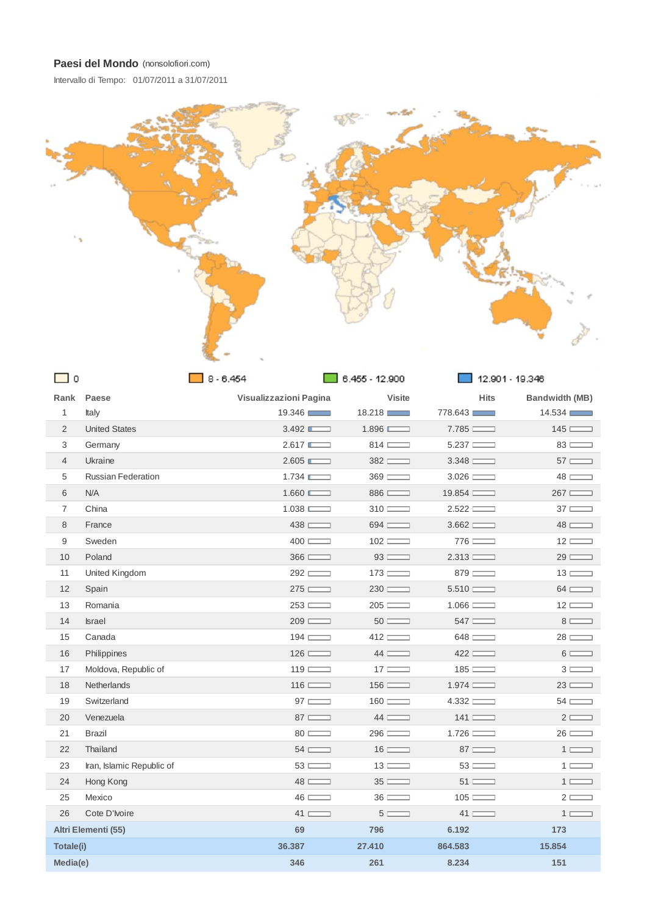Intervallo di Tempo: 01/07/2011 a 31/07/2011



| <b>□</b> 0     |                           | $8 - 6.454$            | ■ 6.455 - 12.900               |                  | 12.901 - 19.346 |
|----------------|---------------------------|------------------------|--------------------------------|------------------|-----------------|
|                | Rank Paese                | Visualizzazioni Pagina | <b>Visite</b>                  | <b>Hits</b>      | Bandwidth (MB)  |
| $\mathbf{1}$   | Italy                     | 19.346                 | 18.218                         | 778.643          | 14.534          |
| $\overline{2}$ | <b>United States</b>      | 3.492                  | 1.896                          | 7.785            | $145$ $\qquad$  |
| 3              | Germany                   | 2.617                  | $814 \ \blacksquare$           | 5.237            | $83 \equiv$     |
| $\overline{4}$ | Ukraine                   | 2.605                  | $382$ $\qquad$                 | $3.348$ $\qquad$ | $57 \equiv$     |
| 5              | <b>Russian Federation</b> | 1.734                  | $369$ $\qquad$                 | 3.026            | $48 \equiv$     |
| 6              | N/A                       | 1.660                  | $886$ $\qquad$                 | 19.854           | $267 \equiv$    |
| $\overline{7}$ | China                     | 1.038                  | $310 \equiv$                   | 2.522            | $37 \equiv$     |
| 8              | France                    | 438                    | 694                            | 3.662            | $48 \equiv$     |
| $9\,$          | Sweden                    | $400 \equiv$           | $102 \equiv$                   | 776              | $12 \equiv$     |
| 10             | Poland                    | $366$ $\qquad$         | $93 \equiv$                    | 2.313            | $29 \equiv$     |
| 11             | United Kingdom            | $292$ $\qquad$         | $173 \equiv$                   | 879              | $13 \equiv$     |
| 12             | Spain                     | 275                    | $230 \equiv$                   | 5.510            | $64 \equiv$     |
| 13             | Romania                   | 253                    | $205 \equiv$                   | $1.066$ $\qquad$ | $12 \equiv$     |
| 14             | <b>Israel</b>             | $209$ $\qquad$         | $50 \equiv$                    | $547$ $\qquad$   | $8 \equiv$      |
| 15             | Canada                    | $194 \ \blacksquare$   | 412                            | 648              | $28 \equiv$     |
| 16             | Philippines               | $126 \equiv$           | $44 \Box$                      | 422              | $6 \equiv$      |
| 17             | Moldova, Republic of      | $119 \equiv$           | $17 \equiv$                    | 185              | $3 \Box$        |
| 18             | <b>Netherlands</b>        | $116 \ \blacksquare$   | $156 \ \blacksquare$           | 1.974            | $23 \equiv$     |
| 19             | Switzerland               | $97 \equiv$            | $160$ $\qquad$                 | 4.332            | $54 \equiv$     |
| 20             | Venezuela                 | $87 \equiv$            | $44 \equiv$                    | $141$ $\qquad$   | $2 \equiv$      |
| 21             | <b>Brazil</b>             | $80 \equiv$            | $296 \ \overline{\phantom{1}}$ | $1.726$ $\qquad$ | $26 \equiv$     |
| 22             | Thailand                  | $54 \equiv$            | $16 \equiv$                    | $87 \equiv$      | $1 \Box$        |
| 23             | Iran, Islamic Republic of | $53 \equiv$            | $13 \equiv$                    | $53 \equiv$      | $1 \Box$        |
| 24             | Hong Kong                 | $48 \equiv$            | $35 \equiv$                    | $51$ $\qquad$    | $1 \equiv$      |
| 25             | Mexico                    | $46 \equiv$            | $36 \equiv$                    | $105 \equiv$     | $2 \Box$        |
| 26             | Cote D'Ivoire             | $41 \equiv$            | $5 \equiv$                     | $41 \equiv$      | $1 \Box$        |
|                | Altri Elementi (55)       | 69                     | 796                            | 6.192            | 173             |
| Totale(i)      |                           | 36.387                 | 27.410                         | 864.583          | 15.854          |
| Media(e)       |                           | 346                    | 261                            | 8.234            | 151             |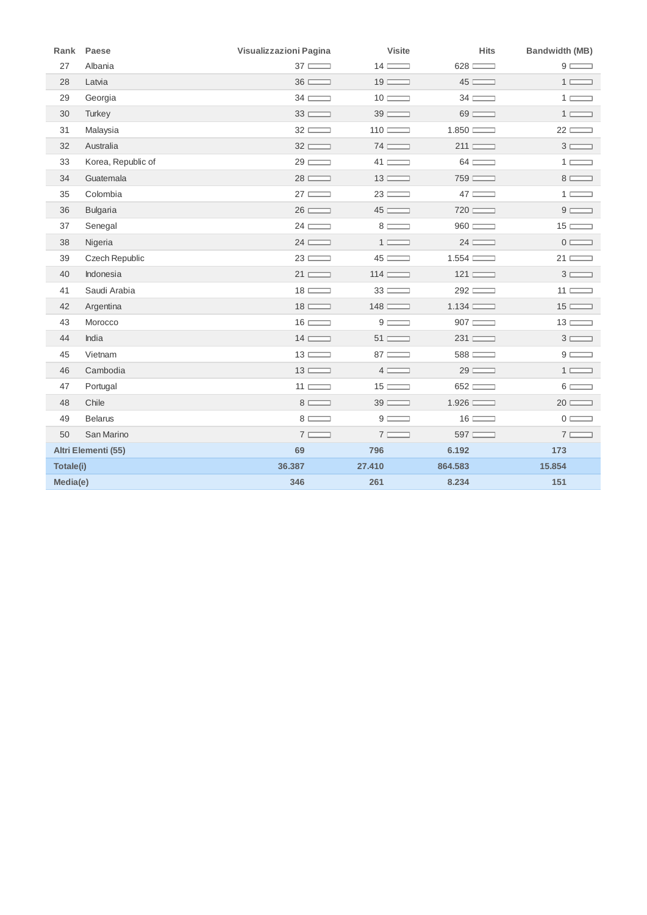| Rank      | Paese               | Visualizzazioni Pagina | <b>Visite</b>  | <b>Hits</b>    | Bandwidth (MB)                |
|-----------|---------------------|------------------------|----------------|----------------|-------------------------------|
| 27        | Albania             | $37 \equiv$            | $14 \equiv$    | 628            | $9 \equiv$                    |
| 28        | Latvia              | $36 \equiv$            | $19 \equiv$    | $45 \equiv$    | $1 \equiv$                    |
| 29        | Georgia             | $34 \equiv$            | $10 \equiv$    | $34 \equiv$    | 1 E                           |
| 30        | Turkey              | $33 \equiv$            | $39 \equiv$    | $69 \equiv$    | $1 \equiv$                    |
| 31        | Malaysia            | $32 \equiv$            | $110$ $\qquad$ | 1.850          | $22 \ \overline{\phantom{1}}$ |
| 32        | Australia           | $32 \equiv$            | $74 \equiv$    | 211            | $3 \equiv$                    |
| 33        | Korea, Republic of  | $29 \equiv$            | $41 \equiv$    | $64 \equiv$    | $1 \equiv$                    |
| 34        | Guatemala           | $28 \equiv$            | $13 \equiv$    | 759            | $8 \equiv$                    |
| 35        | Colombia            | $27 \equiv$            | $23 \equiv$    | $47 \equiv$    | $1 \Box$                      |
| 36        | <b>Bulgaria</b>     | $26 \equiv$            | $45 \equiv$    | 720            | $9 \equiv$                    |
| 37        | Senegal             | $24 \equiv$            | $8 \equiv$     | $960$ $\qquad$ | $15 \equiv$                   |
| 38        | Nigeria             | $24 \equiv$            | $1 \equiv$     | $24 \equiv$    | $0 \ \overline{\phantom{1}}$  |
| 39        | Czech Republic      | $23 \equiv$            | $45 \equiv$    | 1.554          | $21 \equiv$                   |
| 40        | Indonesia           | $21 \equiv$            | $114 \ \Box$   | $121 \ \Box$   | $3 \equiv$                    |
| 41        | Saudi Arabia        | $18 \equiv$            | $33 \equiv$    | 292            | $11 \equiv$                   |
| 42        | Argentina           | $18 \equiv$            | $148 \equiv$   | 1.134          | $15 \equiv$                   |
| 43        | Morocco             | $16 \equiv$            | $9 \equiv$     | 907            | $13 \equiv$                   |
| 44        | India               | $14 \equiv$            | $51$ $\qquad$  | 231            | $3 \equiv$                    |
| 45        | Vietnam             | $13 \equiv$            | $87 \equiv$    | 588            | $9 \equiv$                    |
| 46        | Cambodia            | $13 \equiv$            | $4 \Box$       | $29 \equiv$    | $1 \equiv$                    |
| 47        | Portugal            | $11 \equiv$            | $15 \equiv$    | 652            | $6 \equiv$                    |
| 48        | Chile               | $8 \equiv$             | $39 \equiv$    | 1.926          | $20 \equiv$                   |
| 49        | <b>Belarus</b>      | $8 \equiv$             | $9 \equiv$     | $16 \equiv$    | $0 \equiv$                    |
| 50        | San Marino          | $7 \equiv$             | $7 \equiv$     | 597            | $7 \equiv$                    |
|           | Altri Elementi (55) | 69                     | 796            | 6.192          | 173                           |
| Totale(i) |                     | 36.387                 | 27,410         | 864.583        | 15.854                        |
| Media(e)  |                     | 346                    | 261            | 8.234          | 151                           |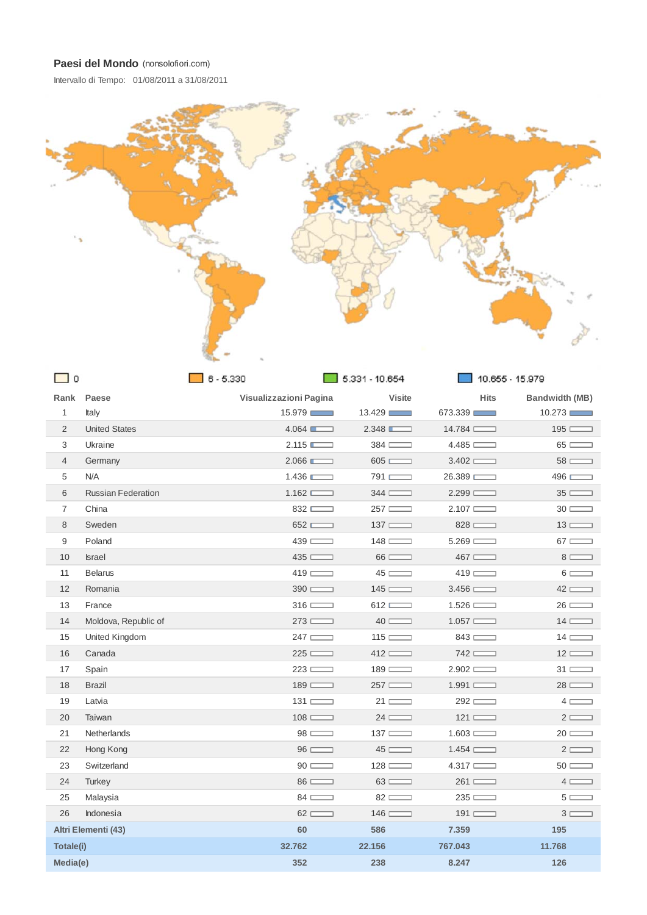Intervallo di Tempo: 01/08/2011 a 31/08/2011



| ں ب              |                           |                        | $\Box$ 0.331 - 10.004 | $10.000 - 10.979$ |                |
|------------------|---------------------------|------------------------|-----------------------|-------------------|----------------|
|                  | Rank Paese                | Visualizzazioni Pagina | <b>Visite</b>         | <b>Hits</b>       | Bandwidth (MB) |
| $\mathbf{1}$     | Italy                     | 15.979                 | 13.429                | 673.339           | 10.273         |
| 2                | <b>United States</b>      | 4.064                  | 2.348                 | $14.784$ $\qquad$ | $195 \equiv$   |
| 3                | Ukraine                   | 2.115                  | $384 \ \blacksquare$  | 4.485             | $65 \equiv$    |
| $\overline{4}$   | Germany                   | 2.066                  | 605                   | 3.402             | $58 \equiv$    |
| 5                | N/A                       | 1.436                  | 791                   | 26.389            | 496            |
| 6                | <b>Russian Federation</b> | 1.162                  | 344                   | 2.299             | $35 \equiv$    |
| $\overline{7}$   | China                     | 832                    | $257 \ \blacksquare$  | $2.107$ $\qquad$  | $30 \equiv$    |
| 8                | Sweden                    | 652                    | $137 \equiv$          | 828               | $13 \equiv$    |
| $\boldsymbol{9}$ | Poland                    | 439                    | $148 \equiv$          | 5.269             | $67 \equiv$    |
| 10               | <b>Israel</b>             | 435                    | $66 \equiv$           | $467$ $\qquad$    | $8 \equiv$     |
| 11               | <b>Belarus</b>            | $419$ $\qquad$         | $45 \equiv$           | $419$ $\qquad$    | $6 \equiv$     |
| 12               | Romania                   | $390$ $\qquad$         | $145$ $\qquad$        | 3.456             | $42 \equiv$    |
| 13               | France                    | $316 \ \blacksquare$   | 612                   | 1.526             | $26 \equiv$    |
| 14               | Moldova, Republic of      | 273                    | $40 \equiv$           | 1.057             | $14 \equiv$    |
| 15               | United Kingdom            | 247                    | $115 \equiv$          | 843               | $14 \Box$      |
| 16               | Canada                    | 225                    | $412 \equiv$          | 742               | $12 \equiv$    |
| 17               | Spain                     | 223                    | 189                   | 2.902             | $31 \equiv$    |
| 18               | <b>Brazil</b>             | $189$ $\qquad$         | 257                   | 1.991             | $28 \equiv$    |
| 19               | Latvia                    | $131 \equiv$           | $21 \equiv$           | 292               | $4 \Box$       |
| 20               | Taiwan                    | $108 \equiv$           | $24 \equiv$           | $121 \equiv$      | $2 \equiv$     |
| 21               | Netherlands               | $98 \equiv$            | $137 \equiv$          | 1.603             | $20 \equiv$    |
| 22               | Hong Kong                 | $96 \equiv$            | $45 \equiv$           | $1.454$ $\qquad$  | $2 \equiv$     |
| 23               | Switzerland               | $90 \equiv$            | $128 \equiv$          | $4.317$ $\qquad$  | $50 \equiv$    |
| 24               | <b>Turkey</b>             | $86 \equiv$            | $63 \equiv$           | 261               | $4 \Box$       |
| 25               | Malaysia                  | $84 \equiv$            | $82 \equiv$           | 235               | $5 \equiv$     |
| 26               | Indonesia                 | $62 \equiv$            | $146 \ \blacksquare$  | 191               | $3 \Box$       |
|                  | Altri Elementi (43)       | 60                     | 586                   | 7.359             | 195            |
| Totale(i)        |                           | 32.762                 | 22.156                | 767.043           | 11.768         |
| Media(e)         |                           | 352                    | 238                   | 8.247             | 126            |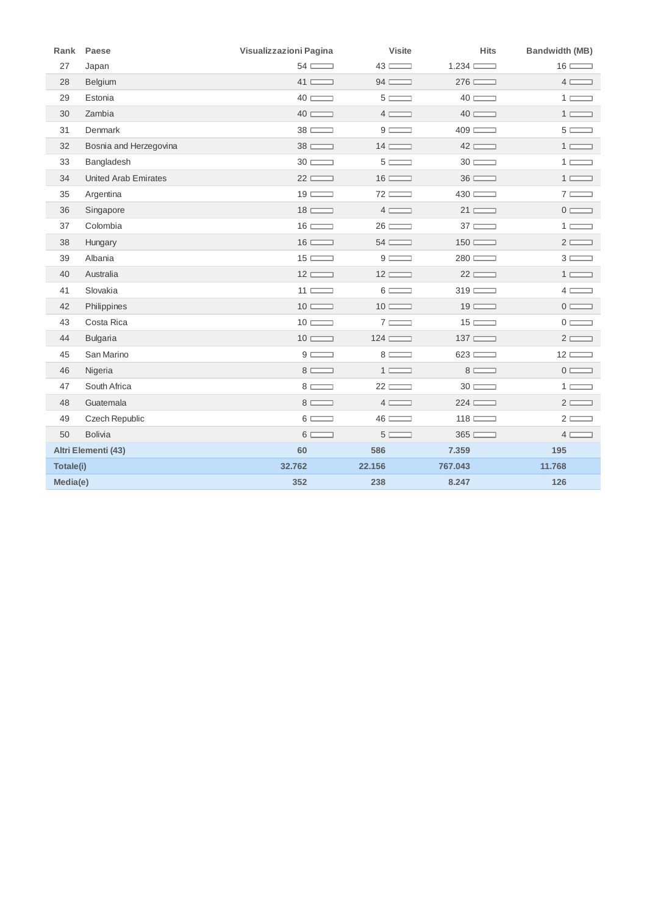| Rank      | Paese                       | Visualizzazioni Pagina | <b>Visite</b>                 | <b>Hits</b>          | <b>Bandwidth (MB)</b>        |
|-----------|-----------------------------|------------------------|-------------------------------|----------------------|------------------------------|
| 27        | Japan                       | $54 \equiv$            | $43 \equiv$                   | 1.234                | $16 \equiv$                  |
| 28        | Belgium                     | $41 \equiv$            | $94 \equiv$                   | 276                  | $4 \Box$                     |
| 29        | Estonia                     | $40 \equiv$            | $5 \equiv$                    | $40 \equiv$          | $1 \sqsubset$                |
| 30        | Zambia                      | $40 \equiv$            | $4 \Box$                      | $40 \equiv$          | $1 \equiv$                   |
| 31        | Denmark                     | $38 \equiv$            | $9 \equiv$                    | $409$ $\qquad$       | $5 \equiv$                   |
| 32        | Bosnia and Herzegovina      | $38 \equiv$            | $14 \equiv$                   | $42 \ \overline{ }$  | $1 \equiv$                   |
| 33        | Bangladesh                  | $30 \equiv$            | $5 \equiv$                    | $30 \equiv$          | $1 \Box$                     |
| 34        | <b>United Arab Emirates</b> | $22 \equiv$            | $16 \equiv$                   | $36 \equiv$          | $1 \equiv$                   |
| 35        | Argentina                   | $19 \equiv$            | $72 \ \overline{\phantom{1}}$ | 430                  | $7 \Box$                     |
| 36        | Singapore                   | $18 \equiv$            | $4 \Box$                      | $21 \equiv$          | $0 \equiv$                   |
| 37        | Colombia                    | $16 \equiv$            | $26 \equiv$                   | $37 \equiv$          | $1 \Box$                     |
| 38        | Hungary                     | $16 \equiv$            | $54 \equiv$                   | $150$ $\qquad$       | $2 \equiv$                   |
| 39        | Albania                     | $15 \equiv$            | $9 \equiv$                    | 280                  | $3 \Box$                     |
| 40        | Australia                   | $12 \equiv$            | $12 \equiv$                   | $22 \equiv$          | $1 \equiv$                   |
| 41        | Slovakia                    | $11 \equiv$            | $6 \equiv$                    | $319$ $\qquad$       | $4 \Box$                     |
| 42        | Philippines                 | $10 \equiv$            | $10 \equiv$                   | $19 \equiv$          | $0 \equiv$                   |
| 43        | Costa Rica                  | $10 \equiv$            | $7 \equiv$                    | $15 \equiv$          | $0 \ \overline{\phantom{1}}$ |
| 44        | <b>Bulgaria</b>             | $10 \equiv$            | $124 \equiv$                  | $137 \ \blacksquare$ | $2 \equiv$                   |
| 45        | San Marino                  | $9 \Box$               | $8 \equiv$                    | 623                  | $12 \equiv$                  |
| 46        | Nigeria                     | $8 \equiv$             | $1 \equiv$                    | $8 \equiv$           | $0 \equiv$                   |
| 47        | South Africa                | $8 \equiv$             | $22 \equiv$                   | $30 \equiv$          | $1 \Box$                     |
| 48        | Guatemala                   | $8 \equiv$             | $4 \Box$                      | 224                  | $2 \Box$                     |
| 49        | Czech Republic              | $6 \Box$               | $46 \equiv$                   | $118 \equiv$         | $2 \equiv$                   |
| 50        | <b>Bolivia</b>              | $6 \Box$               | $5 \equiv$                    | 365                  | $4 \Box$                     |
|           | Altri Elementi (43)         | 60                     | 586                           | 7.359                | 195                          |
| Totale(i) |                             | 32.762                 | 22.156                        | 767.043              | 11.768                       |
| Media(e)  |                             | 352                    | 238                           | 8.247                | 126                          |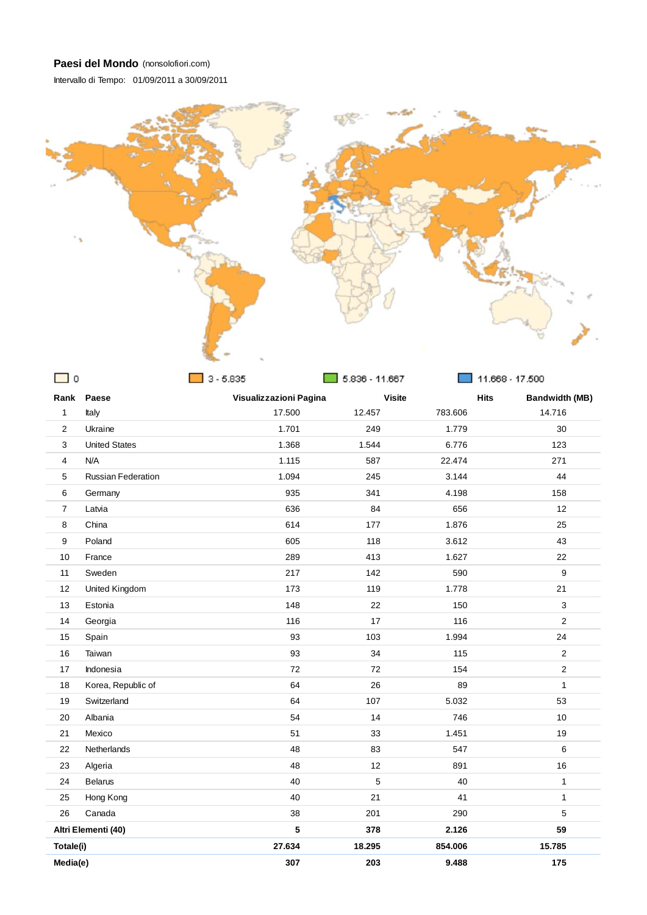Intervallo di Tempo: 01/09/2011 a 30/09/2011



| $\mathbf 0$    |                           | $3 - 5.835$            | 5.836 - 11.667 |         | 11.668 - 17.500                      |  |
|----------------|---------------------------|------------------------|----------------|---------|--------------------------------------|--|
|                | Rank Paese                | Visualizzazioni Pagina | <b>Visite</b>  |         | <b>Hits</b><br><b>Bandwidth (MB)</b> |  |
| $\mathbf{1}$   | Italy                     | 17.500                 | 12.457         | 783.606 | 14.716                               |  |
| $\overline{2}$ | Ukraine                   | 1.701                  | 249            | 1.779   | 30                                   |  |
| 3              | <b>United States</b>      | 1.368                  | 1.544          | 6.776   | 123                                  |  |
| $\overline{4}$ | N/A                       | 1.115                  | 587            | 22.474  | 271                                  |  |
| 5              | <b>Russian Federation</b> | 1.094                  | 245            | 3.144   | 44                                   |  |
| 6              | Germany                   | 935                    | 341            | 4.198   | 158                                  |  |
| $\overline{7}$ | Latvia                    | 636                    | 84             | 656     | 12                                   |  |
| 8              | China                     | 614                    | 177            | 1.876   | 25                                   |  |
| 9              | Poland                    | 605                    | 118            | 3.612   | 43                                   |  |
| 10             | France                    | 289                    | 413            | 1.627   | 22                                   |  |
| 11             | Sweden                    | 217                    | 142            | 590     | $\boldsymbol{9}$                     |  |
| 12             | United Kingdom            | 173                    | 119            | 1.778   | 21                                   |  |
| 13             | Estonia                   | 148                    | 22             | 150     | $\mathsf 3$                          |  |
| 14             | Georgia                   | 116                    | 17             | 116     | $\overline{2}$                       |  |
| 15             | Spain                     | 93                     | 103            | 1.994   | 24                                   |  |
| 16             | Taiwan                    | 93                     | 34             | 115     | $\overline{2}$                       |  |
| 17             | Indonesia                 | 72                     | 72             | 154     | $\overline{2}$                       |  |
| 18             | Korea, Republic of        | 64                     | 26             | 89      | $\mathbf{1}$                         |  |
| 19             | Switzerland               | 64                     | 107            | 5.032   | 53                                   |  |
| 20             | Albania                   | 54                     | 14             | 746     | 10                                   |  |
| 21             | Mexico                    | 51                     | 33             | 1.451   | 19                                   |  |
| 22             | Netherlands               | 48                     | 83             | 547     | 6                                    |  |
| 23             | Algeria                   | 48                     | 12             | 891     | 16                                   |  |
| 24             | <b>Belarus</b>            | 40                     | 5              | 40      | $\mathbf{1}$                         |  |
| 25             | Hong Kong                 | 40                     | 21             | 41      | $\mathbf{1}$                         |  |
| 26             | Canada                    | 38                     | 201            | 290     | $\overline{5}$                       |  |
|                | Altri Elementi (40)       | 5                      | 378            | 2.126   | 59                                   |  |
| Totale(i)      |                           | 27.634                 | 18.295         | 854.006 | 15.785                               |  |
| Media(e)       |                           | 307                    | 203            | 9.488   | 175                                  |  |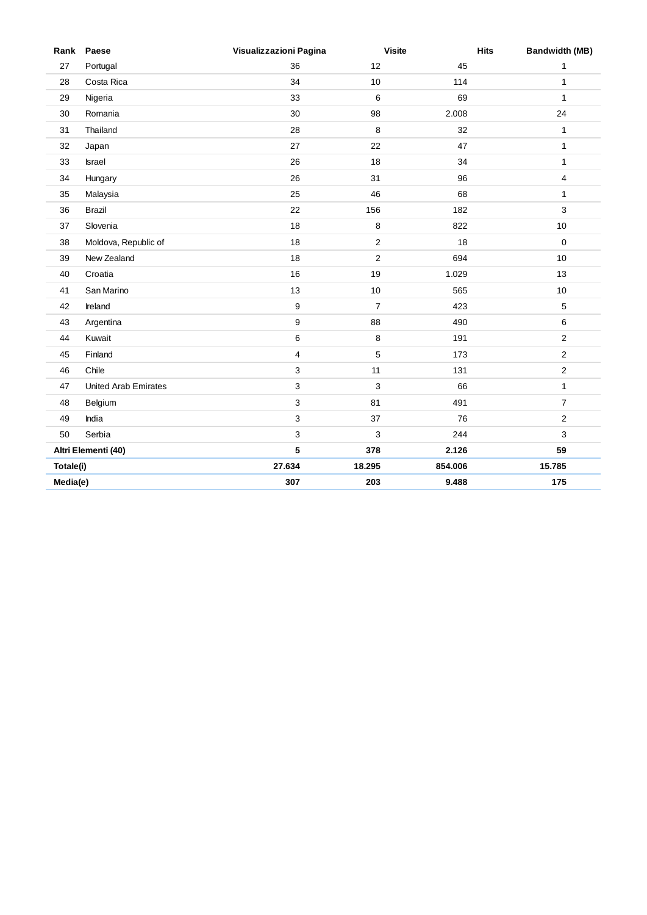|           | Rank Paese                  | Visualizzazioni Pagina | <b>Visite</b>  |         | <b>Hits</b><br><b>Bandwidth (MB)</b> |
|-----------|-----------------------------|------------------------|----------------|---------|--------------------------------------|
| 27        | Portugal                    | 36                     | 12             | 45      | $\mathbf{1}$                         |
| 28        | Costa Rica                  | 34                     | 10             | 114     | $\mathbf{1}$                         |
| 29        | Nigeria                     | 33                     | 6              | 69      | $\mathbf{1}$                         |
| 30        | Romania                     | 30                     | 98             | 2.008   | 24                                   |
| 31        | Thailand                    | 28                     | 8              | 32      | $\mathbf{1}$                         |
| 32        | Japan                       | 27                     | 22             | 47      | $\mathbf{1}$                         |
| 33        | <b>Israel</b>               | 26                     | 18             | 34      | $\mathbf{1}$                         |
| 34        | Hungary                     | 26                     | 31             | 96      | 4                                    |
| 35        | Malaysia                    | 25                     | 46             | 68      | $\mathbf{1}$                         |
| 36        | Brazil                      | 22                     | 156            | 182     | 3                                    |
| 37        | Slovenia                    | 18                     | 8              | 822     | 10                                   |
| 38        | Moldova, Republic of        | 18                     | $\sqrt{2}$     | 18      | $\mathbf 0$                          |
| 39        | New Zealand                 | 18                     | $\overline{2}$ | 694     | 10                                   |
| 40        | Croatia                     | 16                     | 19             | 1.029   | 13                                   |
| 41        | San Marino                  | 13                     | 10             | 565     | 10                                   |
| 42        | Ireland                     | $\boldsymbol{9}$       | $\overline{7}$ | 423     | 5                                    |
| 43        | Argentina                   | 9                      | 88             | 490     | 6                                    |
| 44        | Kuwait                      | $\,6$                  | 8              | 191     | $\sqrt{2}$                           |
| 45        | Finland                     | 4                      | 5              | 173     | $\overline{c}$                       |
| 46        | Chile                       | 3                      | 11             | 131     | $\mathbf{2}$                         |
| 47        | <b>United Arab Emirates</b> | 3                      | 3              | 66      | $\mathbf{1}$                         |
| 48        | Belgium                     | 3                      | 81             | 491     | $\overline{7}$                       |
| 49        | India                       | 3                      | 37             | 76      | 2                                    |
| 50        | Serbia                      | 3                      | 3              | 244     | 3                                    |
|           | Altri Elementi (40)         | 5                      | 378            | 2.126   | 59                                   |
| Totale(i) |                             | 27.634                 | 18.295         | 854.006 | 15.785                               |
| Media(e)  |                             | 307                    | 203            | 9.488   | 175                                  |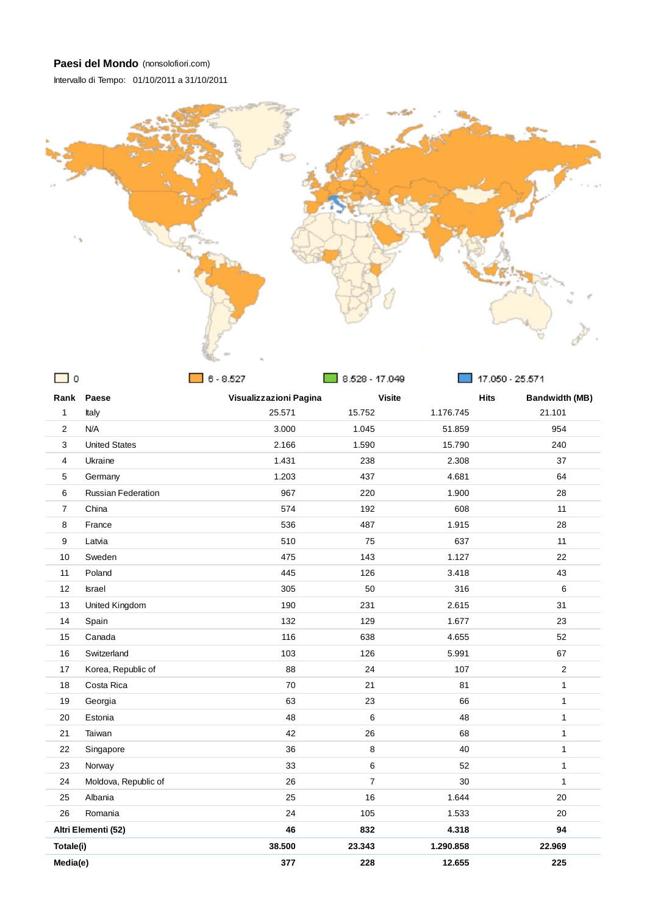Intervallo di Tempo: 01/10/2011 a 31/10/2011



| $\mathbf 0$    |                           | $6 - 8.527$            | 8.528 - 17.049 |           | 17.050 - 25.571                      |
|----------------|---------------------------|------------------------|----------------|-----------|--------------------------------------|
|                | Rank Paese                | Visualizzazioni Pagina | <b>Visite</b>  |           | <b>Hits</b><br><b>Bandwidth (MB)</b> |
| $\mathbf{1}$   | Italy                     | 25.571                 | 15.752         | 1.176.745 | 21.101                               |
| 2              | N/A                       | 3.000                  | 1.045          | 51.859    | 954                                  |
| 3              | <b>United States</b>      | 2.166                  | 1.590          | 15.790    | 240                                  |
| 4              | Ukraine                   | 1.431                  | 238            | 2.308     | 37                                   |
| 5              | Germany                   | 1.203                  | 437            | 4.681     | 64                                   |
| 6              | <b>Russian Federation</b> | 967                    | 220            | 1.900     | 28                                   |
| $\overline{7}$ | China                     | 574                    | 192            | 608       | 11                                   |
| 8              | France                    | 536                    | 487            | 1.915     | 28                                   |
| 9              | Latvia                    | 510                    | 75             | 637       | 11                                   |
| 10             | Sweden                    | 475                    | 143            | 1.127     | 22                                   |
| 11             | Poland                    | 445                    | 126            | 3.418     | 43                                   |
| 12             | <b>Israel</b>             | 305                    | 50             | 316       | 6                                    |
| 13             | United Kingdom            | 190                    | 231            | 2.615     | 31                                   |
| 14             | Spain                     | 132                    | 129            | 1.677     | 23                                   |
| 15             | Canada                    | 116                    | 638            | 4.655     | 52                                   |
| 16             | Switzerland               | 103                    | 126            | 5.991     | 67                                   |
| 17             | Korea, Republic of        | 88                     | 24             | 107       | $\overline{2}$                       |
| 18             | Costa Rica                | 70                     | 21             | 81        | $\mathbf{1}$                         |
| 19             | Georgia                   | 63                     | 23             | 66        | $\mathbf{1}$                         |
| 20             | Estonia                   | 48                     | 6              | 48        | $\mathbf{1}$                         |
| 21             | Taiwan                    | 42                     | 26             | 68        | $\mathbf{1}$                         |
| 22             | Singapore                 | 36                     | 8              | 40        | $\mathbf{1}$                         |
| 23             | Norway                    | 33                     | 6              | 52        | $\mathbf{1}$                         |
| 24             | Moldova, Republic of      | 26                     | $\overline{7}$ | 30        | $\mathbf{1}$                         |
| 25             | Albania                   | 25                     | 16             | 1.644     | 20                                   |
| 26             | Romania                   | 24                     | 105            | 1.533     | 20                                   |
|                | Altri Elementi (52)       | 46                     | 832            | 4.318     | 94                                   |
| Totale(i)      |                           | 38.500                 | 23.343         | 1.290.858 | 22.969                               |
| Media(e)       |                           | 377                    | 228            | 12.655    | 225                                  |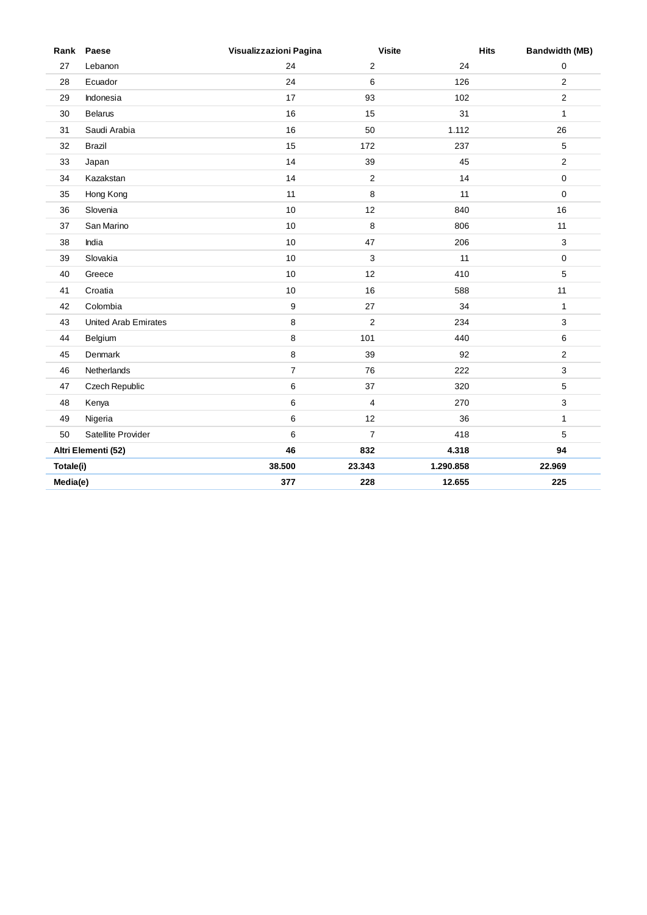|           | Rank Paese                  | Visualizzazioni Pagina | <b>Visite</b>  | <b>Hits</b> | <b>Bandwidth (MB)</b> |
|-----------|-----------------------------|------------------------|----------------|-------------|-----------------------|
| 27        | Lebanon                     | 24                     | $\overline{2}$ | 24          | 0                     |
| 28        | Ecuador                     | 24                     | 6              | 126         | 2                     |
| 29        | Indonesia                   | 17                     | 93             | 102         | $\overline{2}$        |
| 30        | <b>Belarus</b>              | 16                     | 15             | 31          | $\mathbf{1}$          |
| 31        | Saudi Arabia                | 16                     | 50             | 1.112       | 26                    |
| 32        | <b>Brazil</b>               | 15                     | 172            | 237         | 5                     |
| 33        | Japan                       | 14                     | 39             | 45          | $\mathbf{2}$          |
| 34        | Kazakstan                   | 14                     | $\overline{2}$ | 14          | 0                     |
| 35        | Hong Kong                   | 11                     | 8              | 11          | $\mathbf 0$           |
| 36        | Slovenia                    | 10                     | 12             | 840         | 16                    |
| 37        | San Marino                  | 10                     | 8              | 806         | 11                    |
| 38        | India                       | 10                     | 47             | 206         | 3                     |
| 39        | Slovakia                    | 10                     | 3              | 11          | 0                     |
| 40        | Greece                      | 10                     | 12             | 410         | 5                     |
| 41        | Croatia                     | 10                     | 16             | 588         | 11                    |
| 42        | Colombia                    | $\boldsymbol{9}$       | 27             | 34          | $\mathbf{1}$          |
| 43        | <b>United Arab Emirates</b> | 8                      | $\overline{2}$ | 234         | 3                     |
| 44        | Belgium                     | 8                      | 101            | 440         | 6                     |
| 45        | Denmark                     | $\bf 8$                | 39             | 92          | $\overline{2}$        |
| 46        | Netherlands                 | $\overline{7}$         | 76             | 222         | 3                     |
| 47        | Czech Republic              | 6                      | 37             | 320         | 5                     |
| 48        | Kenya                       | 6                      | 4              | 270         | 3                     |
| 49        | Nigeria                     | 6                      | 12             | 36          | $\mathbf{1}$          |
| 50        | Satellite Provider          | 6                      | $\overline{7}$ | 418         | 5                     |
|           | Altri Elementi (52)         | 46                     | 832            | 4.318       | 94                    |
| Totale(i) |                             | 38.500                 | 23.343         | 1.290.858   | 22.969                |
| Media(e)  |                             | 377                    | 228            | 12.655      | 225                   |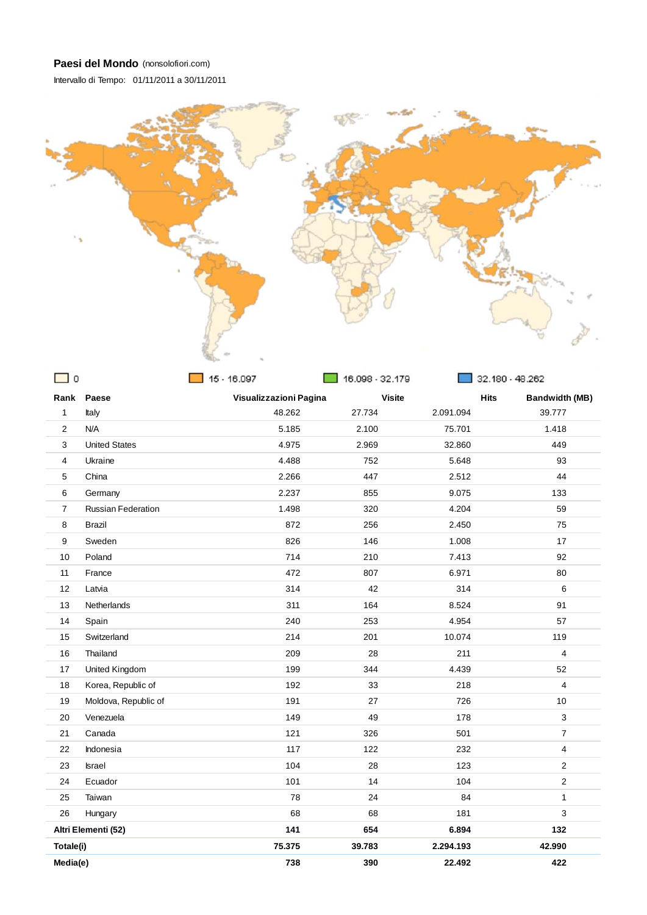Intervallo di Tempo: 01/11/2011 a 30/11/2011



| ட ப            |                           | $-10.097$              | $\_$ 16.098 - 32.179 |               | 32.180 - 48.262                      |
|----------------|---------------------------|------------------------|----------------------|---------------|--------------------------------------|
|                | Rank Paese                | Visualizzazioni Pagina |                      | <b>Visite</b> | <b>Hits</b><br><b>Bandwidth (MB)</b> |
| $\mathbf{1}$   | Italy                     | 48.262                 | 27.734               | 2.091.094     | 39.777                               |
| 2              | N/A                       | 5.185                  | 2.100                | 75.701        | 1.418                                |
| 3              | <b>United States</b>      | 4.975                  | 2.969                | 32.860        | 449                                  |
| $\overline{4}$ | Ukraine                   | 4.488                  | 752                  | 5.648         | 93                                   |
| 5              | China                     | 2.266                  | 447                  | 2.512         | 44                                   |
| 6              | Germany                   | 2.237                  | 855                  | 9.075         | 133                                  |
| $\overline{7}$ | <b>Russian Federation</b> | 1.498                  | 320                  | 4.204         | 59                                   |
| 8              | <b>Brazil</b>             | 872                    | 256                  | 2.450         | 75                                   |
| 9              | Sweden                    | 826                    | 146                  | 1.008         | 17                                   |
| 10             | Poland                    | 714                    | 210                  | 7.413         | 92                                   |
| 11             | France                    | 472                    | 807                  | 6.971         | 80                                   |
| 12             | Latvia                    | 314                    | 42                   | 314           | 6                                    |
| 13             | Netherlands               | 311                    | 164                  | 8.524         | 91                                   |
| 14             | Spain                     | 240                    | 253                  | 4.954         | 57                                   |
| 15             | Switzerland               | 214                    | 201                  | 10.074        | 119                                  |
| 16             | Thailand                  | 209                    | 28                   | 211           | $\overline{4}$                       |
| 17             | United Kingdom            | 199                    | 344                  | 4.439         | 52                                   |
| 18             | Korea, Republic of        | 192                    | 33                   | 218           | $\overline{4}$                       |
| 19             | Moldova, Republic of      | 191                    | 27                   | 726           | 10                                   |
| 20             | Venezuela                 | 149                    | 49                   | 178           | 3                                    |
| 21             | Canada                    | 121                    | 326                  | 501           | $\boldsymbol{7}$                     |
| 22             | Indonesia                 | 117                    | 122                  | 232           | 4                                    |
| 23             | <b>Israel</b>             | 104                    | 28                   | 123           | $\overline{2}$                       |
| 24             | Ecuador                   | 101                    | 14                   | 104           | $\mathbf 2$                          |
| 25             | Taiwan                    | 78                     | 24                   | 84            | $\mathbf{1}$                         |
| 26             | Hungary                   | 68                     | 68                   | 181           | 3                                    |
|                | Altri Elementi (52)       | 141                    | 654                  | 6.894         | 132                                  |
| Totale(i)      |                           | 75.375                 | 39.783               | 2.294.193     | 42.990                               |
| Media(e)       |                           | 738                    | 390                  | 22.492        | 422                                  |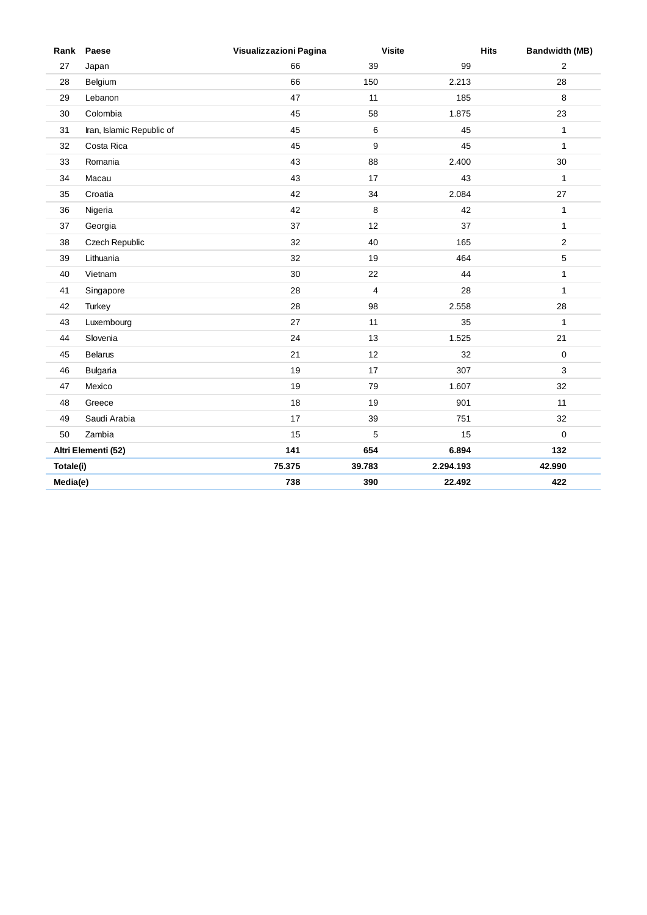|           | Rank Paese                | Visualizzazioni Pagina | <b>Visite</b>           | <b>Hits</b> | <b>Bandwidth (MB)</b> |
|-----------|---------------------------|------------------------|-------------------------|-------------|-----------------------|
| 27        | Japan                     | 66                     | 39                      | 99          | $\overline{2}$        |
| 28        | Belgium                   | 66                     | 150                     | 2.213       | 28                    |
| 29        | Lebanon                   | 47                     | 11                      | 185         | 8                     |
| 30        | Colombia                  | 45                     | 58                      | 1.875       | 23                    |
| 31        | Iran, Islamic Republic of | 45                     | $\,6\,$                 | 45          | $\mathbf{1}$          |
| 32        | Costa Rica                | 45                     | 9                       | 45          | $\mathbf{1}$          |
| 33        | Romania                   | 43                     | 88                      | 2.400       | 30                    |
| 34        | Macau                     | 43                     | 17                      | 43          | $\mathbf{1}$          |
| 35        | Croatia                   | 42                     | 34                      | 2.084       | 27                    |
| 36        | Nigeria                   | 42                     | 8                       | 42          | $\mathbf{1}$          |
| 37        | Georgia                   | 37                     | 12                      | 37          | $\mathbf{1}$          |
| 38        | Czech Republic            | 32                     | 40                      | 165         | $\sqrt{2}$            |
| 39        | Lithuania                 | 32                     | 19                      | 464         | 5                     |
| 40        | Vietnam                   | 30                     | 22                      | 44          | $\mathbf{1}$          |
| 41        | Singapore                 | 28                     | $\overline{\mathbf{4}}$ | 28          | $\mathbf{1}$          |
| 42        | Turkey                    | 28                     | 98                      | 2.558       | 28                    |
| 43        | Luxembourg                | 27                     | 11                      | 35          | $\mathbf{1}$          |
| 44        | Slovenia                  | 24                     | 13                      | 1.525       | 21                    |
| 45        | <b>Belarus</b>            | 21                     | 12                      | 32          | 0                     |
| 46        | <b>Bulgaria</b>           | 19                     | 17                      | 307         | 3                     |
| 47        | Mexico                    | 19                     | 79                      | 1.607       | 32                    |
| 48        | Greece                    | 18                     | 19                      | 901         | 11                    |
| 49        | Saudi Arabia              | 17                     | 39                      | 751         | 32                    |
| 50        | Zambia                    | 15                     | 5                       | 15          | $\mathbf 0$           |
|           | Altri Elementi (52)       | 141                    | 654                     | 6.894       | 132                   |
| Totale(i) |                           | 75.375                 | 39.783                  | 2.294.193   | 42.990                |
| Media(e)  |                           | 738                    | 390                     | 22.492      | 422                   |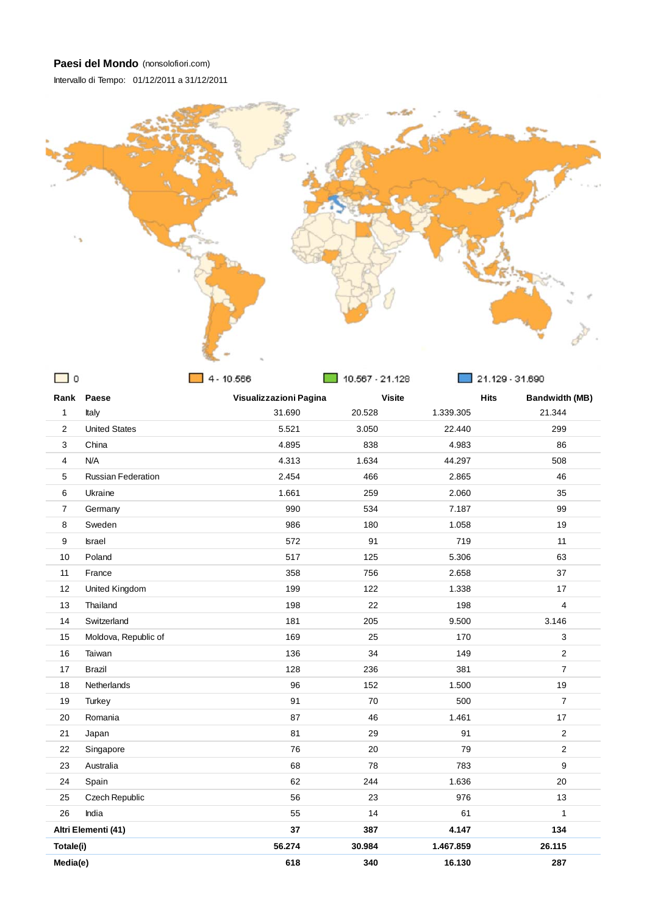Intervallo di Tempo: 01/12/2011 a 31/12/2011



| ں ب            |                           | 14 - 1∪.555            | $10.567 - 21.128$ |             | 21.129 - 31.690       |
|----------------|---------------------------|------------------------|-------------------|-------------|-----------------------|
|                | Rank Paese                | Visualizzazioni Pagina | <b>Visite</b>     | <b>Hits</b> | <b>Bandwidth (MB)</b> |
| $\mathbf{1}$   | Italy                     | 31.690                 | 20.528            | 1.339.305   | 21.344                |
| 2              | <b>United States</b>      | 5.521                  | 3.050             | 22.440      | 299                   |
| 3              | China                     | 4.895                  | 838               | 4.983       | 86                    |
| 4              | N/A                       | 4.313                  | 1.634             | 44.297      | 508                   |
| 5              | <b>Russian Federation</b> | 2.454                  | 466               | 2.865       | 46                    |
| 6              | Ukraine                   | 1.661                  | 259               | 2.060       | 35                    |
| $\overline{7}$ | Germany                   | 990                    | 534               | 7.187       | 99                    |
| 8              | Sweden                    | 986                    | 180               | 1.058       | 19                    |
| 9              | <b>Israel</b>             | 572                    | 91                | 719         | 11                    |
| 10             | Poland                    | 517                    | 125               | 5.306       | 63                    |
| 11             | France                    | 358                    | 756               | 2.658       | 37                    |
| 12             | United Kingdom            | 199                    | 122               | 1.338       | 17                    |
| 13             | Thailand                  | 198                    | 22                | 198         | $\overline{4}$        |
| 14             | Switzerland               | 181                    | 205               | 9.500       | 3.146                 |
| 15             | Moldova, Republic of      | 169                    | 25                | 170         | 3                     |
| 16             | Taiwan                    | 136                    | 34                | 149         | $\overline{2}$        |
| 17             | <b>Brazil</b>             | 128                    | 236               | 381         | $\overline{7}$        |
| 18             | <b>Netherlands</b>        | 96                     | 152               | 1.500       | 19                    |
| 19             | Turkey                    | 91                     | 70                | 500         | $\overline{7}$        |
| 20             | Romania                   | 87                     | 46                | 1.461       | 17                    |
| 21             | Japan                     | 81                     | 29                | 91          | 2                     |
| 22             | Singapore                 | 76                     | 20                | 79          | $\overline{2}$        |
| 23             | Australia                 | 68                     | 78                | 783         | 9                     |
| 24             | Spain                     | 62                     | 244               | 1.636       | 20                    |
| 25             | Czech Republic            | 56                     | 23                | 976         | 13                    |
| 26             | India                     | 55                     | 14                | 61          | $\mathbf{1}$          |
|                | Altri Elementi (41)       | 37                     | 387               | 4.147       | 134                   |
| Totale(i)      |                           | 56.274                 | 30.984            | 1.467.859   | 26.115                |
| Media(e)       |                           | 618                    | 340               | 16.130      | 287                   |